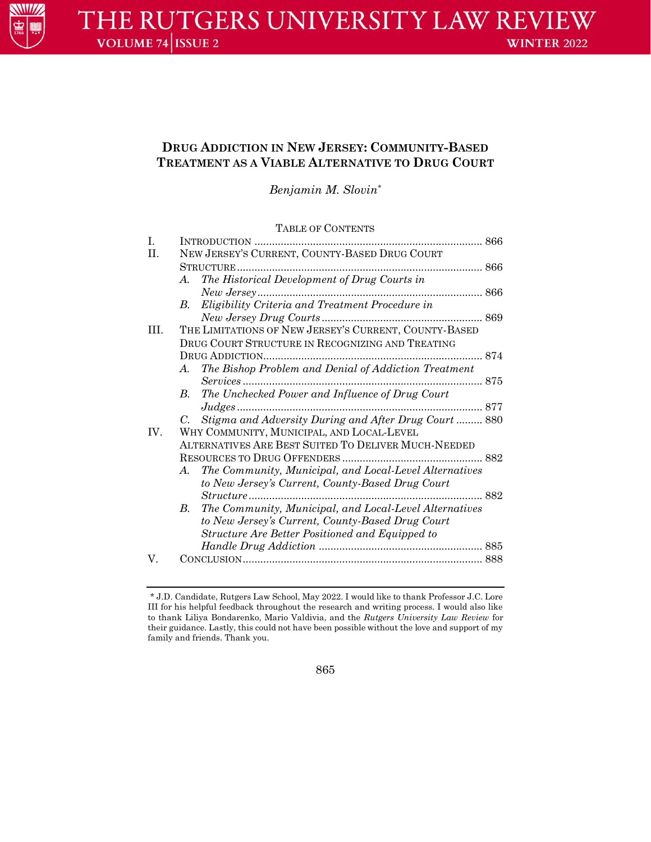

# **DRUG ADDICTION IN NEW JERSEY: COMMUNITY-BASED TREATMENT AS A VIABLE ALTERNATIVE TO DRUG COURT**

*Benjamin M. Slovin*\*

## TABLE OF CONTENTS

| I.  | INTRODUCTION                                                          |  |
|-----|-----------------------------------------------------------------------|--|
| II. | NEW JERSEY'S CURRENT, COUNTY-BASED DRUG COURT                         |  |
|     | <b>STRUCTURE</b>                                                      |  |
|     | The Historical Development of Drug Courts in<br>A.                    |  |
|     |                                                                       |  |
|     | Eligibility Criteria and Treatment Procedure in<br>В.                 |  |
|     |                                                                       |  |
| Ш.  | THE LIMITATIONS OF NEW JERSEY'S CURRENT, COUNTY-BASED                 |  |
|     | DRUG COURT STRUCTURE IN RECOGNIZING AND TREATING                      |  |
|     |                                                                       |  |
|     | The Bishop Problem and Denial of Addiction Treatment<br>A.            |  |
|     |                                                                       |  |
|     | The Unchecked Power and Influence of Drug Court<br>В.                 |  |
|     |                                                                       |  |
|     | Stigma and Adversity During and After Drug Court  880<br>C.           |  |
| IV. | WHY COMMUNITY, MUNICIPAL, AND LOCAL-LEVEL                             |  |
|     | ALTERNATIVES ARE BEST SUITED TO DELIVER MUCH-NEEDED                   |  |
|     |                                                                       |  |
|     | The Community, Municipal, and Local-Level Alternatives<br>A.          |  |
|     | to New Jersey's Current, County-Based Drug Court                      |  |
|     |                                                                       |  |
|     | $B_{\cdot}$<br>The Community, Municipal, and Local-Level Alternatives |  |
|     | to New Jersey's Current, County-Based Drug Court                      |  |
|     | Structure Are Better Positioned and Equipped to                       |  |
|     |                                                                       |  |
| V.  |                                                                       |  |
|     |                                                                       |  |

865

<sup>\*</sup> J.D. Candidate, Rutgers Law School, May 2022. I would like to thank Professor J.C. Lore III for his helpful feedback throughout the research and writing process. I would also like to thank Liliya Bondarenko, Mario Valdivia, and the *Rutgers University Law Review* for their guidance. Lastly, this could not have been possible without the love and support of my family and friends. Thank you.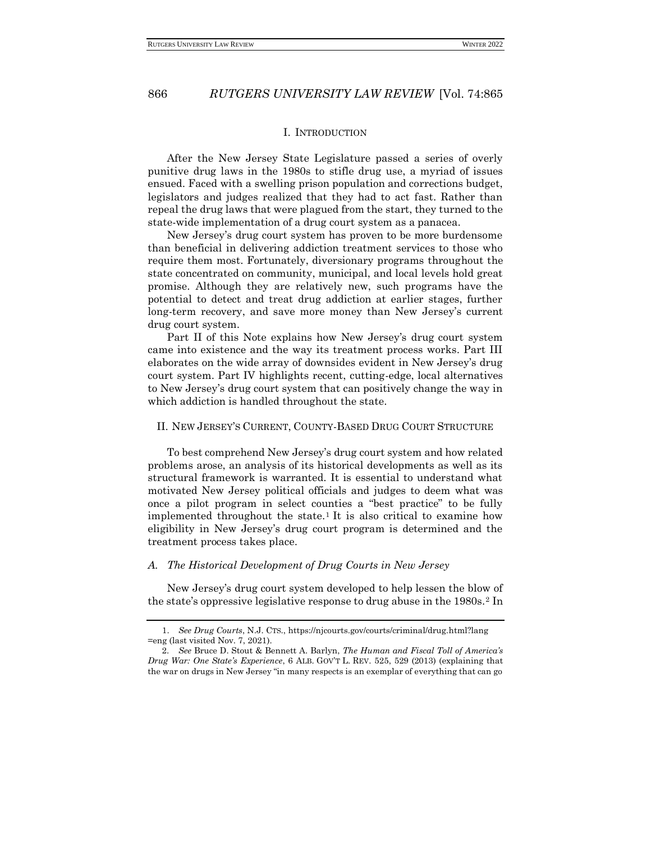#### <span id="page-1-0"></span>I. INTRODUCTION

After the New Jersey State Legislature passed a series of overly punitive drug laws in the 1980s to stifle drug use, a myriad of issues ensued. Faced with a swelling prison population and corrections budget, legislators and judges realized that they had to act fast. Rather than repeal the drug laws that were plagued from the start, they turned to the state-wide implementation of a drug court system as a panacea.

New Jersey's drug court system has proven to be more burdensome than beneficial in delivering addiction treatment services to those who require them most. Fortunately, diversionary programs throughout the state concentrated on community, municipal, and local levels hold great promise. Although they are relatively new, such programs have the potential to detect and treat drug addiction at earlier stages, further long-term recovery, and save more money than New Jersey's current drug court system.

Part II of this Note explains how New Jersey's drug court system came into existence and the way its treatment process works. Part III elaborates on the wide array of downsides evident in New Jersey's drug court system. Part IV highlights recent, cutting-edge, local alternatives to New Jersey's drug court system that can positively change the way in which addiction is handled throughout the state.

## <span id="page-1-1"></span>II. NEW JERSEY'S CURRENT, COUNTY-BASED DRUG COURT STRUCTURE

To best comprehend New Jersey's drug court system and how related problems arose, an analysis of its historical developments as well as its structural framework is warranted. It is essential to understand what motivated New Jersey political officials and judges to deem what was once a pilot program in select counties a "best practice" to be fully implemented throughout the state.<sup>1</sup> It is also critical to examine how eligibility in New Jersey's drug court program is determined and the treatment process takes place.

#### <span id="page-1-2"></span>*A. The Historical Development of Drug Courts in New Jersey*

New Jersey's drug court system developed to help lessen the blow of the state's oppressive legislative response to drug abuse in the 1980s.<sup>2</sup> In

<sup>1.</sup> *See Drug Courts*, N.J. CTS., https://njcourts.gov/courts/criminal/drug.html?lang =eng (last visited Nov. 7, 2021).

<sup>2.</sup> *See* Bruce D. Stout & Bennett A. Barlyn, *The Human and Fiscal Toll of America's Drug War: One State's Experience*, 6 ALB. GOV'T L. REV. 525, 529 (2013) (explaining that the war on drugs in New Jersey "in many respects is an exemplar of everything that can go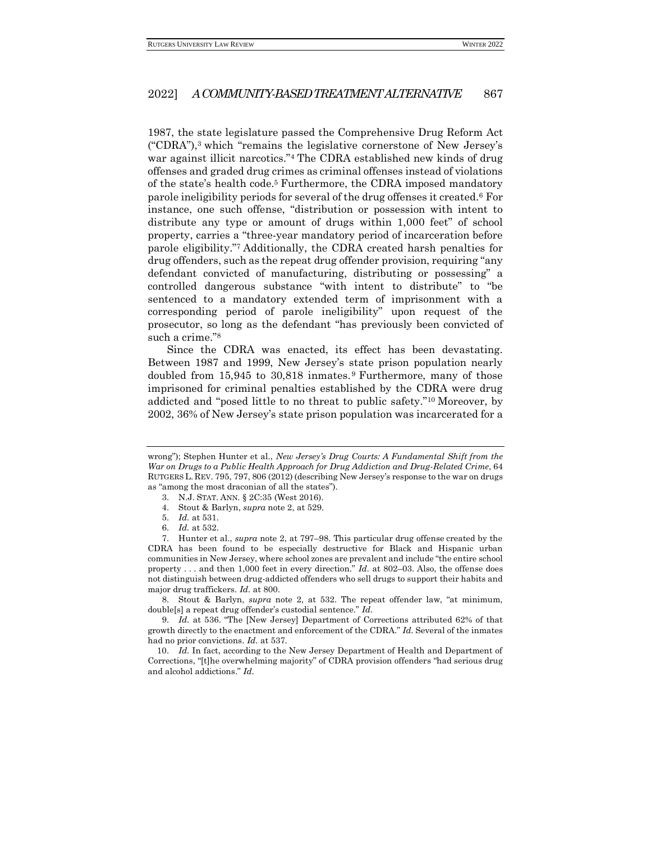1987, the state legislature passed the Comprehensive Drug Reform Act ("CDRA"),<sup>3</sup> which "remains the legislative cornerstone of New Jersey's war against illicit narcotics."<sup>4</sup> The CDRA established new kinds of drug offenses and graded drug crimes as criminal offenses instead of violations of the state's health code.<sup>5</sup> Furthermore, the CDRA imposed mandatory parole ineligibility periods for several of the drug offenses it created.<sup>6</sup> For instance, one such offense, "distribution or possession with intent to distribute any type or amount of drugs within 1,000 feet" of school property, carries a "three-year mandatory period of incarceration before parole eligibility."<sup>7</sup> Additionally, the CDRA created harsh penalties for drug offenders, such as the repeat drug offender provision, requiring "any defendant convicted of manufacturing, distributing or possessing" a controlled dangerous substance "with intent to distribute" to "be sentenced to a mandatory extended term of imprisonment with a corresponding period of parole ineligibility" upon request of the prosecutor, so long as the defendant "has previously been convicted of such a crime."<sup>8</sup>

Since the CDRA was enacted, its effect has been devastating. Between 1987 and 1999, New Jersey's state prison population nearly doubled from 15,945 to 30,818 inmates. <sup>9</sup> Furthermore, many of those imprisoned for criminal penalties established by the CDRA were drug addicted and "posed little to no threat to public safety."<sup>10</sup> Moreover, by 2002, 36% of New Jersey's state prison population was incarcerated for a

8. Stout & Barlyn, *supra* note 2, at 532. The repeat offender law, "at minimum, double[s] a repeat drug offender's custodial sentence." *Id.*

9. *Id.* at 536. "The [New Jersey] Department of Corrections attributed 62% of that growth directly to the enactment and enforcement of the CDRA." *Id.* Several of the inmates had no prior convictions. *Id.* at 537.

10. *Id.* In fact, according to the New Jersey Department of Health and Department of Corrections, "[t]he overwhelming majority" of CDRA provision offenders "had serious drug and alcohol addictions." *Id.*

wrong"); Stephen Hunter et al., *New Jersey's Drug Courts: A Fundamental Shift from the War on Drugs to a Public Health Approach for Drug Addiction and Drug-Related Crime*, 64 RUTGERS L. REV. 795, 797, 806 (2012) (describing New Jersey's response to the war on drugs as "among the most draconian of all the states").

<sup>3.</sup> N.J. STAT. ANN. § 2C:35 (West 2016).

<sup>4.</sup> Stout & Barlyn, *supra* note 2, at 529.

<sup>5.</sup> *Id.* at 531.

<sup>6.</sup> *Id.* at 532.

<sup>7.</sup> Hunter et al., *supra* note 2, at 797–98. This particular drug offense created by the CDRA has been found to be especially destructive for Black and Hispanic urban communities in New Jersey, where school zones are prevalent and include "the entire school property . . . and then 1,000 feet in every direction." *Id.* at 802–03. Also, the offense does not distinguish between drug-addicted offenders who sell drugs to support their habits and major drug traffickers. *Id.* at 800.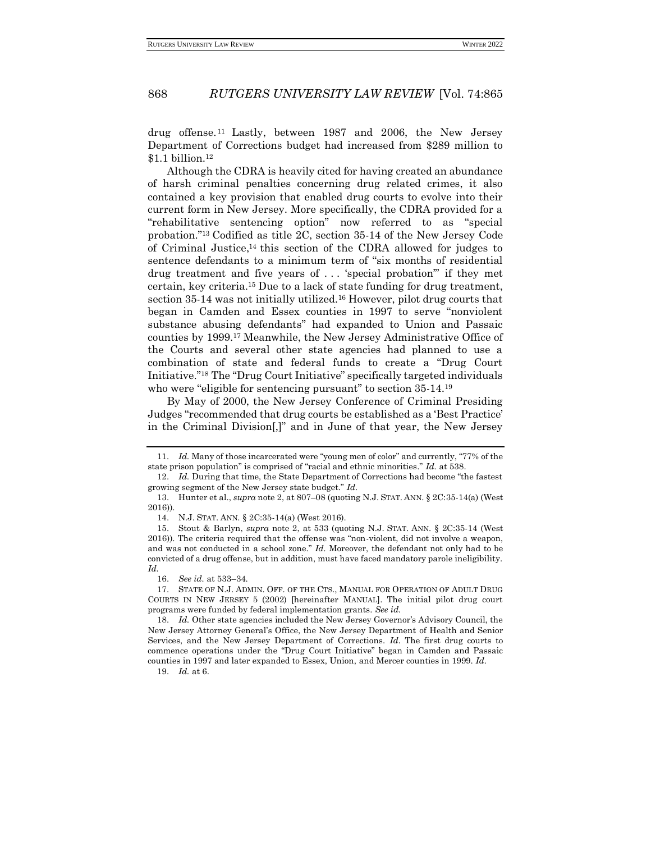drug offense. <sup>11</sup> Lastly, between 1987 and 2006, the New Jersey Department of Corrections budget had increased from \$289 million to \$1.1 billion.<sup>12</sup>

Although the CDRA is heavily cited for having created an abundance of harsh criminal penalties concerning drug related crimes, it also contained a key provision that enabled drug courts to evolve into their current form in New Jersey. More specifically, the CDRA provided for a "rehabilitative sentencing option" now referred to as "special probation."<sup>13</sup> Codified as title 2C, section 35-14 of the New Jersey Code of Criminal Justice, <sup>14</sup> this section of the CDRA allowed for judges to sentence defendants to a minimum term of "six months of residential drug treatment and five years of . . . 'special probation'" if they met certain, key criteria.<sup>15</sup> Due to a lack of state funding for drug treatment, section 35-14 was not initially utilized.<sup>16</sup> However, pilot drug courts that began in Camden and Essex counties in 1997 to serve "nonviolent substance abusing defendants" had expanded to Union and Passaic counties by 1999.<sup>17</sup> Meanwhile, the New Jersey Administrative Office of the Courts and several other state agencies had planned to use a combination of state and federal funds to create a "Drug Court Initiative."<sup>18</sup> The "Drug Court Initiative" specifically targeted individuals who were "eligible for sentencing pursuant" to section 35-14.<sup>19</sup>

By May of 2000, the New Jersey Conference of Criminal Presiding Judges "recommended that drug courts be established as a 'Best Practice' in the Criminal Division[,]" and in June of that year, the New Jersey

<sup>11.</sup> *Id.* Many of those incarcerated were "young men of color" and currently, "77% of the state prison population" is comprised of "racial and ethnic minorities." *Id.* at 538.

<sup>12.</sup> *Id.* During that time, the State Department of Corrections had become "the fastest growing segment of the New Jersey state budget." *Id.*

<sup>13.</sup> Hunter et al., *supra* note 2, at 807–08 (quoting N.J. STAT. ANN. § 2C:35-14(a) (West 2016)).

<sup>14.</sup> N.J. STAT. ANN. § 2C:35-14(a) (West 2016).

<sup>15.</sup> Stout & Barlyn, *supra* note 2, at 533 (quoting N.J. STAT. ANN. § 2C:35-14 (West 2016)). The criteria required that the offense was "non-violent, did not involve a weapon, and was not conducted in a school zone." *Id.* Moreover, the defendant not only had to be convicted of a drug offense, but in addition, must have faced mandatory parole ineligibility. *Id.*

<sup>16.</sup> *See id.* at 533–34.

<sup>17.</sup> STATE OF N.J. ADMIN. OFF. OF THE CTS., MANUAL FOR OPERATION OF ADULT DRUG COURTS IN NEW JERSEY 5 (2002) [hereinafter MANUAL]. The initial pilot drug court programs were funded by federal implementation grants. *See id.*

<sup>18.</sup> *Id.* Other state agencies included the New Jersey Governor's Advisory Council, the New Jersey Attorney General's Office, the New Jersey Department of Health and Senior Services, and the New Jersey Department of Corrections. *Id.* The first drug courts to commence operations under the "Drug Court Initiative" began in Camden and Passaic counties in 1997 and later expanded to Essex, Union, and Mercer counties in 1999. *Id.*

<sup>19.</sup> *Id.* at 6.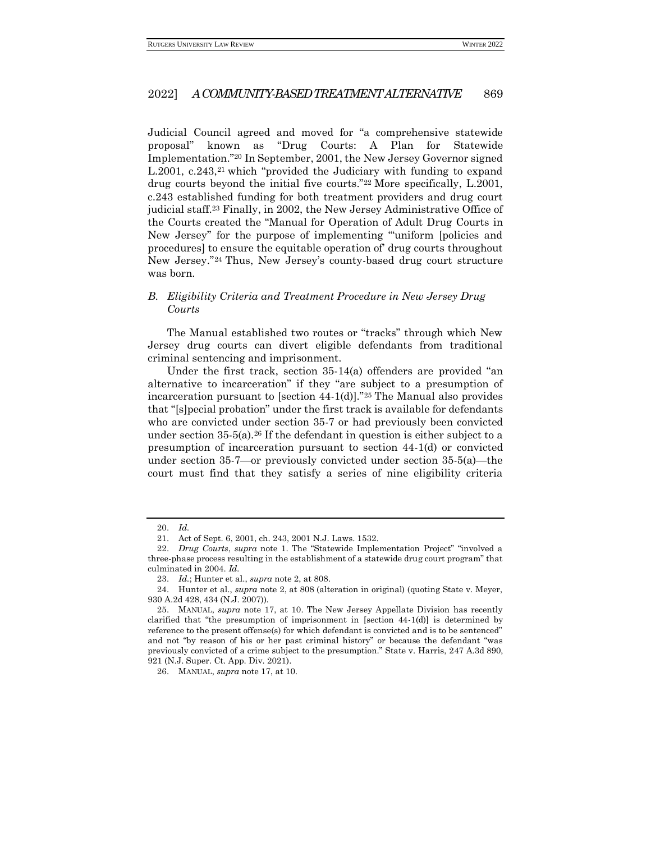Judicial Council agreed and moved for "a comprehensive statewide proposal" known as "Drug Courts: A Plan for Statewide Implementation."<sup>20</sup> In September, 2001, the New Jersey Governor signed L.2001, c.243,<sup>21</sup> which "provided the Judiciary with funding to expand drug courts beyond the initial five courts."<sup>22</sup> More specifically, L.2001, c.243 established funding for both treatment providers and drug court judicial staff.<sup>23</sup> Finally, in 2002, the New Jersey Administrative Office of the Courts created the "Manual for Operation of Adult Drug Courts in New Jersey" for the purpose of implementing "'uniform [policies and procedures] to ensure the equitable operation of' drug courts throughout New Jersey."<sup>24</sup> Thus, New Jersey's county-based drug court structure was born.

## <span id="page-4-0"></span>*B. Eligibility Criteria and Treatment Procedure in New Jersey Drug Courts*

The Manual established two routes or "tracks" through which New Jersey drug courts can divert eligible defendants from traditional criminal sentencing and imprisonment.

Under the first track, section 35-14(a) offenders are provided "an alternative to incarceration" if they "are subject to a presumption of incarceration pursuant to [section 44-1(d)]."<sup>25</sup> The Manual also provides that "[s]pecial probation" under the first track is available for defendants who are convicted under section 35-7 or had previously been convicted under section  $35-5(a)$ .<sup>26</sup> If the defendant in question is either subject to a presumption of incarceration pursuant to section 44-1(d) or convicted under section 35-7—or previously convicted under section 35-5(a)—the court must find that they satisfy a series of nine eligibility criteria

<sup>20.</sup> *Id.*

<sup>21.</sup> Act of Sept. 6, 2001, ch. 243, 2001 N.J. Laws. 1532.

<sup>22.</sup> *Drug Courts*, *supra* note 1. The "Statewide Implementation Project" "involved a three-phase process resulting in the establishment of a statewide drug court program" that culminated in 2004. *Id.*

<sup>23.</sup> *Id.*; Hunter et al., *supra* note 2, at 808.

<sup>24.</sup> Hunter et al., *supra* note 2, at 808 (alteration in original) (quoting State v. Meyer, 930 A.2d 428, 434 (N.J. 2007)).

<sup>25.</sup> MANUAL, *supra* note 17, at 10. The New Jersey Appellate Division has recently clarified that "the presumption of imprisonment in [section 44-1(d)] is determined by reference to the present offense(s) for which defendant is convicted and is to be sentenced" and not "by reason of his or her past criminal history" or because the defendant "was previously convicted of a crime subject to the presumption." State v. Harris, 247 A.3d 890, 921 (N.J. Super. Ct. App. Div. 2021).

<sup>26.</sup> MANUAL, *supra* note 17, at 10*.*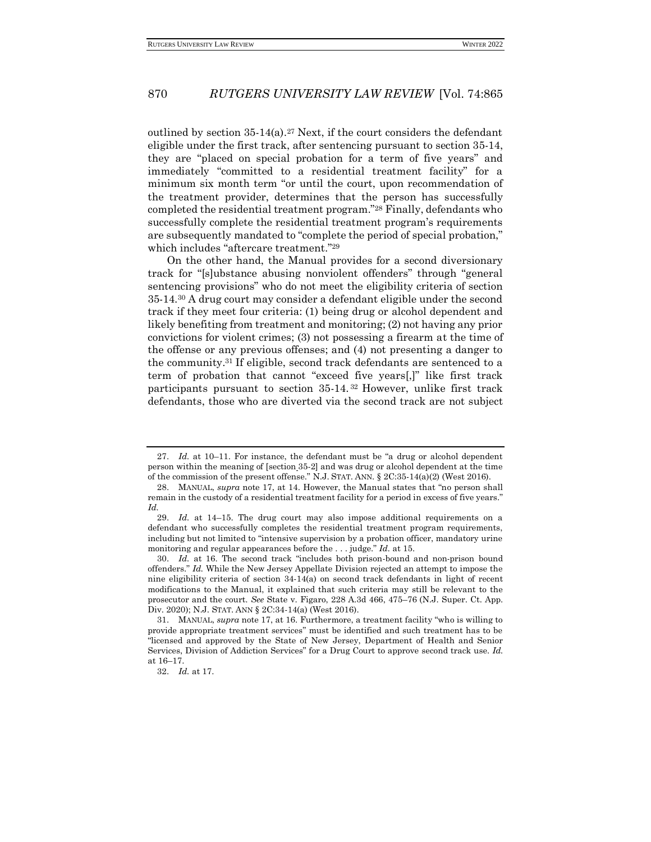outlined by section  $35-14(a)$ .<sup>27</sup> Next, if the court considers the defendant eligible under the first track, after sentencing pursuant to section 35-14, they are "placed on special probation for a term of five years" and immediately "committed to a residential treatment facility" for a minimum six month term "or until the court, upon recommendation of the treatment provider, determines that the person has successfully completed the residential treatment program."<sup>28</sup> Finally, defendants who successfully complete the residential treatment program's requirements are subsequently mandated to "complete the period of special probation," which includes "aftercare treatment."<sup>29</sup>

On the other hand, the Manual provides for a second diversionary track for "[s]ubstance abusing nonviolent offenders" through "general sentencing provisions" who do not meet the eligibility criteria of section 35-14.<sup>30</sup> A drug court may consider a defendant eligible under the second track if they meet four criteria: (1) being drug or alcohol dependent and likely benefiting from treatment and monitoring; (2) not having any prior convictions for violent crimes; (3) not possessing a firearm at the time of the offense or any previous offenses; and (4) not presenting a danger to the community.<sup>31</sup> If eligible, second track defendants are sentenced to a term of probation that cannot "exceed five years[,]" like first track participants pursuant to section 35-14. <sup>32</sup> However, unlike first track defendants, those who are diverted via the second track are not subject

<sup>27.</sup> *Id.* at 10–11. For instance, the defendant must be "a drug or alcohol dependent person within the meaning of [section 35-2] and was drug or alcohol dependent at the time of the commission of the present offense." N.J. STAT. ANN.  $\S 2C:35-14(a)(2)$  (West 2016).

<sup>28.</sup> MANUAL, *supra* note 17, at 14. However, the Manual states that "no person shall remain in the custody of a residential treatment facility for a period in excess of five years." *Id.*

<sup>29.</sup> *Id.* at 14–15. The drug court may also impose additional requirements on a defendant who successfully completes the residential treatment program requirements, including but not limited to "intensive supervision by a probation officer, mandatory urine monitoring and regular appearances before the . . . judge." *Id.* at 15.

<sup>30.</sup> *Id.* at 16. The second track "includes both prison-bound and non-prison bound offenders." *Id.* While the New Jersey Appellate Division rejected an attempt to impose the nine eligibility criteria of section 34-14(a) on second track defendants in light of recent modifications to the Manual, it explained that such criteria may still be relevant to the prosecutor and the court. *See* State v. Figaro, 228 A.3d 466, 475–76 (N.J. Super. Ct. App. Div. 2020); N.J. STAT. ANN § 2C:34-14(a) (West 2016).

<sup>31.</sup> MANUAL, *supra* note 17, at 16. Furthermore, a treatment facility "who is willing to provide appropriate treatment services" must be identified and such treatment has to be "licensed and approved by the State of New Jersey, Department of Health and Senior Services, Division of Addiction Services" for a Drug Court to approve second track use. *Id.*  at 16–17.

<sup>32.</sup> *Id.* at 17.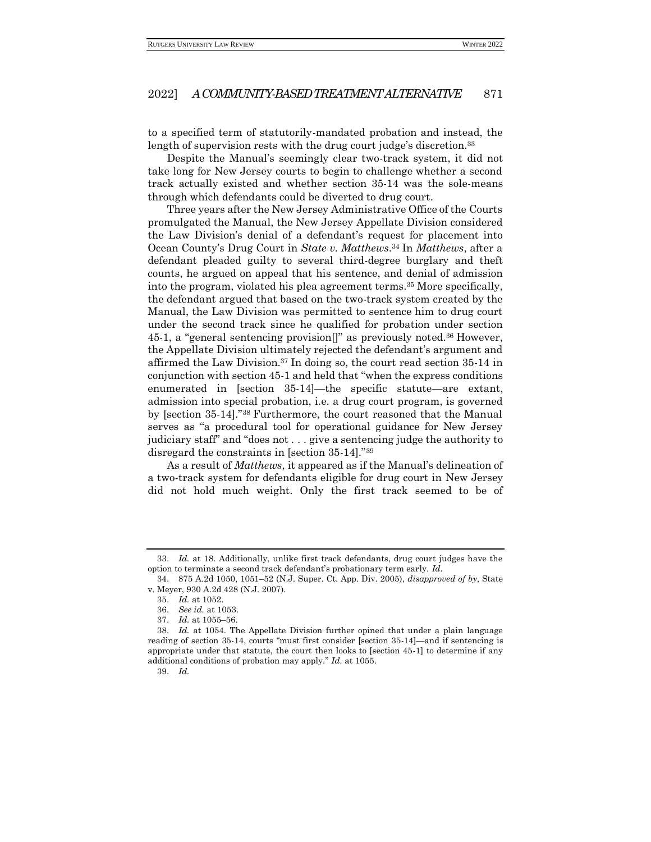to a specified term of statutorily-mandated probation and instead, the length of supervision rests with the drug court judge's discretion.<sup>33</sup>

Despite the Manual's seemingly clear two-track system, it did not take long for New Jersey courts to begin to challenge whether a second track actually existed and whether section 35-14 was the sole-means through which defendants could be diverted to drug court.

Three years after the New Jersey Administrative Office of the Courts promulgated the Manual, the New Jersey Appellate Division considered the Law Division's denial of a defendant's request for placement into Ocean County's Drug Court in *State v. Matthews*. <sup>34</sup> In *Matthews*, after a defendant pleaded guilty to several third-degree burglary and theft counts, he argued on appeal that his sentence, and denial of admission into the program, violated his plea agreement terms.<sup>35</sup> More specifically, the defendant argued that based on the two-track system created by the Manual, the Law Division was permitted to sentence him to drug court under the second track since he qualified for probation under section 45-1, a "general sentencing provision[]" as previously noted.<sup>36</sup> However, the Appellate Division ultimately rejected the defendant's argument and affirmed the Law Division.<sup>37</sup> In doing so, the court read section 35-14 in conjunction with section 45-1 and held that "when the express conditions enumerated in [section 35-14]—the specific statute—are extant, admission into special probation, i.e. a drug court program, is governed by [section 35-14]."<sup>38</sup> Furthermore, the court reasoned that the Manual serves as "a procedural tool for operational guidance for New Jersey judiciary staff" and "does not . . . give a sentencing judge the authority to disregard the constraints in [section 35-14]."<sup>39</sup>

As a result of *Matthews*, it appeared as if the Manual's delineation of a two-track system for defendants eligible for drug court in New Jersey did not hold much weight. Only the first track seemed to be of

<sup>33.</sup> *Id.* at 18. Additionally, unlike first track defendants, drug court judges have the option to terminate a second track defendant's probationary term early. *Id.*

<sup>34.</sup> 875 A.2d 1050, 1051–52 (N.J. Super. Ct. App. Div. 2005), *disapproved of by*, State v. Meyer, 930 A.2d 428 (N.J. 2007).

<sup>35.</sup> *Id.* at 1052.

<sup>36.</sup> *See id.* at 1053.

<sup>37.</sup> *Id.* at 1055–56.

<sup>38.</sup> *Id.* at 1054. The Appellate Division further opined that under a plain language reading of section 35-14, courts "must first consider [section 35-14]—and if sentencing is appropriate under that statute, the court then looks to [section 45-1] to determine if any additional conditions of probation may apply." *Id.* at 1055.

<sup>39.</sup> *Id.*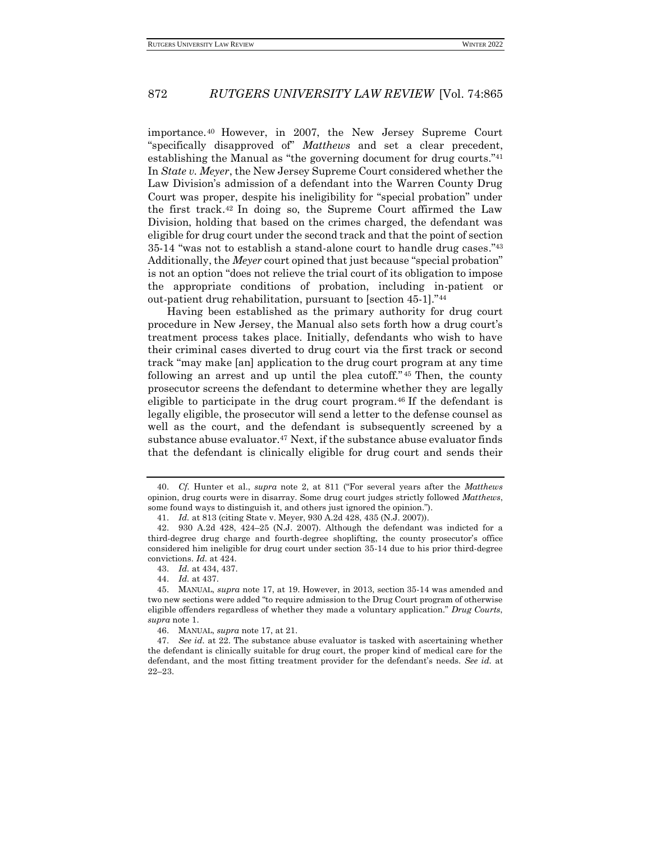importance. <sup>40</sup> However, in 2007, the New Jersey Supreme Court "specifically disapproved of" *Matthews* and set a clear precedent, establishing the Manual as "the governing document for drug courts."<sup>41</sup> In *State v. Meyer*, the New Jersey Supreme Court considered whether the Law Division's admission of a defendant into the Warren County Drug Court was proper, despite his ineligibility for "special probation" under the first track. <sup>42</sup> In doing so, the Supreme Court affirmed the Law Division, holding that based on the crimes charged, the defendant was eligible for drug court under the second track and that the point of section 35-14 "was not to establish a stand-alone court to handle drug cases."<sup>43</sup> Additionally, the *Meyer* court opined that just because "special probation" is not an option "does not relieve the trial court of its obligation to impose the appropriate conditions of probation, including in-patient or out-patient drug rehabilitation, pursuant to [section 45-1]."<sup>44</sup>

Having been established as the primary authority for drug court procedure in New Jersey, the Manual also sets forth how a drug court's treatment process takes place. Initially, defendants who wish to have their criminal cases diverted to drug court via the first track or second track "may make [an] application to the drug court program at any time following an arrest and up until the plea cutoff." <sup>45</sup> Then, the county prosecutor screens the defendant to determine whether they are legally eligible to participate in the drug court program.<sup>46</sup> If the defendant is legally eligible, the prosecutor will send a letter to the defense counsel as well as the court, and the defendant is subsequently screened by a substance abuse evaluator.<sup>47</sup> Next, if the substance abuse evaluator finds that the defendant is clinically eligible for drug court and sends their

<sup>40.</sup> *Cf.* Hunter et al., *supra* note 2, at 811 ("For several years after the *Matthews* opinion, drug courts were in disarray. Some drug court judges strictly followed *Matthews*, some found ways to distinguish it, and others just ignored the opinion.").

<sup>41.</sup> *Id.* at 813 (citing State v. Meyer, 930 A.2d 428, 435 (N.J. 2007)).

<sup>42.</sup> 930 A.2d 428, 424–25 (N.J. 2007). Although the defendant was indicted for a third-degree drug charge and fourth-degree shoplifting, the county prosecutor's office considered him ineligible for drug court under section 35-14 due to his prior third-degree convictions. *Id.* at 424.

<sup>43.</sup> *Id.* at 434, 437.

<sup>44.</sup> *Id.* at 437.

<sup>45.</sup> MANUAL, *supra* note 17, at 19. However, in 2013, section 35-14 was amended and two new sections were added "to require admission to the Drug Court program of otherwise eligible offenders regardless of whether they made a voluntary application." *Drug Courts*, *supra* note 1.

<sup>46.</sup> MANUAL, *supra* note 17, at 21.

<sup>47.</sup> *See id.* at 22. The substance abuse evaluator is tasked with ascertaining whether the defendant is clinically suitable for drug court, the proper kind of medical care for the defendant, and the most fitting treatment provider for the defendant's needs. *See id.* at 22–23.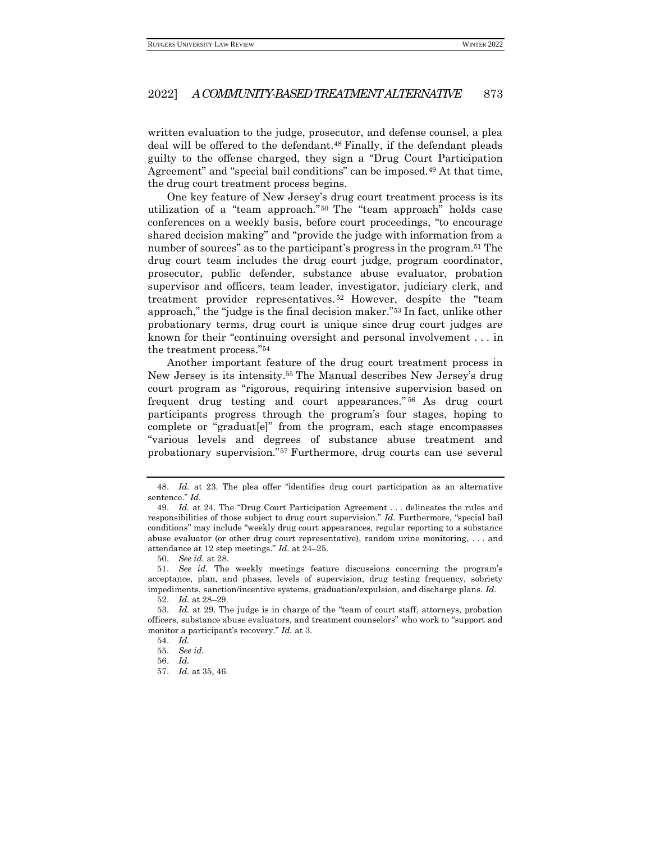written evaluation to the judge, prosecutor, and defense counsel, a plea deal will be offered to the defendant.<sup>48</sup> Finally, if the defendant pleads guilty to the offense charged, they sign a "Drug Court Participation Agreement" and "special bail conditions" can be imposed.<sup>49</sup> At that time, the drug court treatment process begins.

One key feature of New Jersey's drug court treatment process is its utilization of a "team approach." <sup>50</sup> The "team approach" holds case conferences on a weekly basis, before court proceedings, "to encourage shared decision making" and "provide the judge with information from a number of sources" as to the participant's progress in the program.<sup>51</sup> The drug court team includes the drug court judge, program coordinator, prosecutor, public defender, substance abuse evaluator, probation supervisor and officers, team leader, investigator, judiciary clerk, and treatment provider representatives. <sup>52</sup> However, despite the "team approach," the "judge is the final decision maker."<sup>53</sup> In fact, unlike other probationary terms, drug court is unique since drug court judges are known for their "continuing oversight and personal involvement . . . in the treatment process."<sup>54</sup>

Another important feature of the drug court treatment process in New Jersey is its intensity.<sup>55</sup> The Manual describes New Jersey's drug court program as "rigorous, requiring intensive supervision based on frequent drug testing and court appearances." <sup>56</sup> As drug court participants progress through the program's four stages, hoping to complete or "graduat[e]" from the program, each stage encompasses "various levels and degrees of substance abuse treatment and probationary supervision."<sup>57</sup> Furthermore, drug courts can use several

<sup>48.</sup> *Id.* at 23. The plea offer "identifies drug court participation as an alternative sentence." *Id.*

<sup>49.</sup> *Id.* at 24. The "Drug Court Participation Agreement . . . delineates the rules and responsibilities of those subject to drug court supervision." *Id.* Furthermore, "special bail conditions" may include "weekly drug court appearances, regular reporting to a substance abuse evaluator (or other drug court representative), random urine monitoring, . . . and attendance at 12 step meetings." *Id.* at 24–25.

<sup>50.</sup> *See id.* at 28.

<sup>51.</sup> *See id.* The weekly meetings feature discussions concerning the program's acceptance, plan, and phases, levels of supervision, drug testing frequency, sobriety impediments, sanction/incentive systems, graduation/expulsion, and discharge plans. *Id.*

<sup>52.</sup> *Id.* at 28–29.

<sup>53.</sup> *Id.* at 29. The judge is in charge of the "team of court staff, attorneys, probation officers, substance abuse evaluators, and treatment counselors" who work to "support and monitor a participant's recovery." *Id.* at 3.

<sup>54.</sup> *Id.*

<sup>55.</sup> *See id.*

<sup>56.</sup> *Id.*

<sup>57.</sup> *Id.* at 35, 46.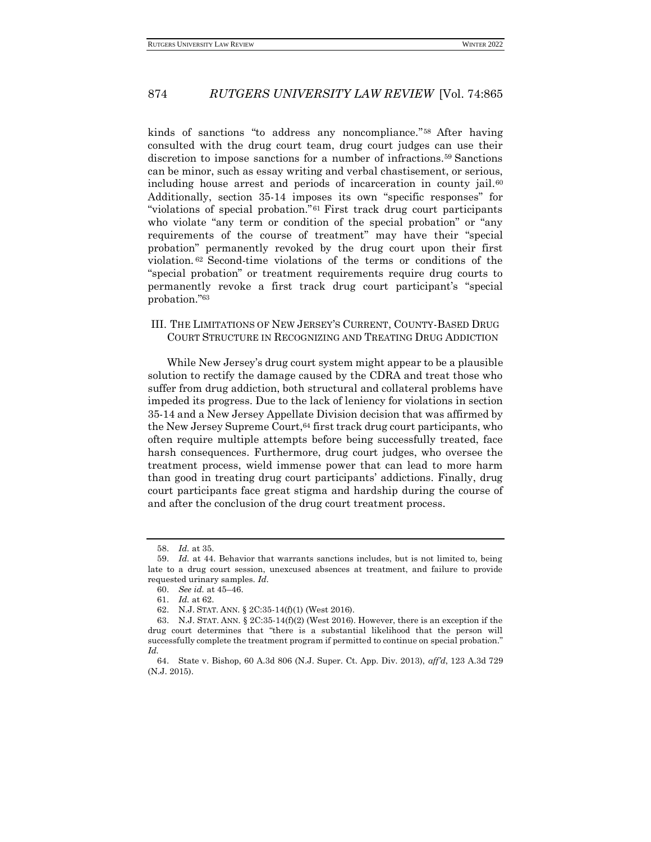kinds of sanctions "to address any noncompliance." <sup>58</sup> After having consulted with the drug court team, drug court judges can use their discretion to impose sanctions for a number of infractions.<sup>59</sup> Sanctions can be minor, such as essay writing and verbal chastisement, or serious, including house arrest and periods of incarceration in county jail.<sup>60</sup> Additionally, section 35-14 imposes its own "specific responses" for "violations of special probation."<sup>61</sup> First track drug court participants who violate "any term or condition of the special probation" or "any requirements of the course of treatment" may have their "special probation" permanently revoked by the drug court upon their first violation. <sup>62</sup> Second-time violations of the terms or conditions of the "special probation" or treatment requirements require drug courts to permanently revoke a first track drug court participant's "special probation."<sup>63</sup>

## <span id="page-9-0"></span>III. THE LIMITATIONS OF NEW JERSEY'S CURRENT, COUNTY-BASED DRUG COURT STRUCTURE IN RECOGNIZING AND TREATING DRUG ADDICTION

While New Jersey's drug court system might appear to be a plausible solution to rectify the damage caused by the CDRA and treat those who suffer from drug addiction, both structural and collateral problems have impeded its progress. Due to the lack of leniency for violations in section 35-14 and a New Jersey Appellate Division decision that was affirmed by the New Jersey Supreme Court, 64 first track drug court participants, who often require multiple attempts before being successfully treated, face harsh consequences. Furthermore, drug court judges, who oversee the treatment process, wield immense power that can lead to more harm than good in treating drug court participants' addictions. Finally, drug court participants face great stigma and hardship during the course of and after the conclusion of the drug court treatment process.

<sup>58.</sup> *Id.* at 35.

<sup>59.</sup> *Id.* at 44. Behavior that warrants sanctions includes, but is not limited to, being late to a drug court session, unexcused absences at treatment, and failure to provide requested urinary samples. *Id.*

<sup>60.</sup> *See id.* at 45–46.

<sup>61.</sup> *Id.* at 62.

<sup>62.</sup> N.J. STAT. ANN. § 2C:35-14(f)(1) (West 2016).

<sup>63.</sup> N.J. STAT. ANN.  $\S 2C:35-14(f)(2)$  (West 2016). However, there is an exception if the drug court determines that "there is a substantial likelihood that the person will successfully complete the treatment program if permitted to continue on special probation." *Id.*

<sup>64.</sup> State v. Bishop, 60 A.3d 806 (N.J. Super. Ct. App. Div. 2013), *aff'd*, 123 A.3d 729 (N.J. 2015).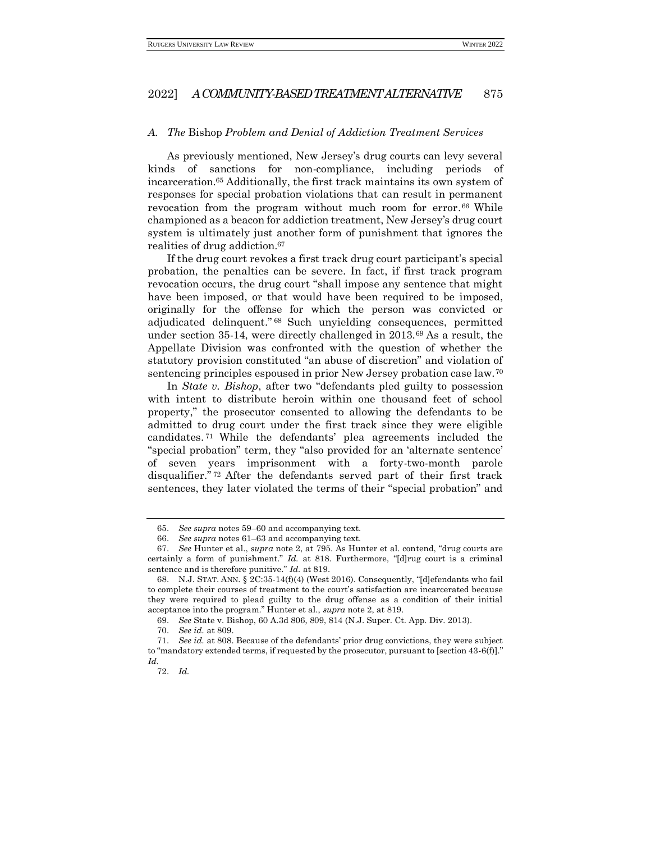#### <span id="page-10-0"></span>*A. The* Bishop *Problem and Denial of Addiction Treatment Services*

As previously mentioned, New Jersey's drug courts can levy several kinds of sanctions for non-compliance, including periods of incarceration.<sup>65</sup> Additionally, the first track maintains its own system of responses for special probation violations that can result in permanent revocation from the program without much room for error. <sup>66</sup> While championed as a beacon for addiction treatment, New Jersey's drug court system is ultimately just another form of punishment that ignores the realities of drug addiction.<sup>67</sup>

If the drug court revokes a first track drug court participant's special probation, the penalties can be severe. In fact, if first track program revocation occurs, the drug court "shall impose any sentence that might have been imposed, or that would have been required to be imposed, originally for the offense for which the person was convicted or adjudicated delinquent." <sup>68</sup> Such unyielding consequences, permitted under section 35-14, were directly challenged in 2013.<sup>69</sup> As a result, the Appellate Division was confronted with the question of whether the statutory provision constituted "an abuse of discretion" and violation of sentencing principles espoused in prior New Jersey probation case law.<sup>70</sup>

In *State v. Bishop*, after two "defendants pled guilty to possession with intent to distribute heroin within one thousand feet of school property," the prosecutor consented to allowing the defendants to be admitted to drug court under the first track since they were eligible candidates. <sup>71</sup> While the defendants' plea agreements included the "special probation" term, they "also provided for an 'alternate sentence' of seven years imprisonment with a forty-two-month parole disqualifier." <sup>72</sup> After the defendants served part of their first track sentences, they later violated the terms of their "special probation" and

<sup>65.</sup> *See supra* notes 59–60 and accompanying text.

<sup>66.</sup> *See supra* notes 61–63 and accompanying text.

<sup>67.</sup> *See* Hunter et al., *supra* note 2, at 795. As Hunter et al. contend, "drug courts are certainly a form of punishment." *Id.* at 818. Furthermore, "[d]rug court is a criminal sentence and is therefore punitive." *Id.* at 819.

<sup>68.</sup> N.J. STAT. ANN. § 2C:35-14(f)(4) (West 2016). Consequently, "[d]efendants who fail to complete their courses of treatment to the court's satisfaction are incarcerated because they were required to plead guilty to the drug offense as a condition of their initial acceptance into the program." Hunter et al., *supra* note 2, at 819.

<sup>69.</sup> *See* State v. Bishop, 60 A.3d 806, 809, 814 (N.J. Super. Ct. App. Div. 2013).

<sup>70.</sup> *See id.* at 809.

<sup>71.</sup> *See id.* at 808. Because of the defendants' prior drug convictions, they were subject to "mandatory extended terms, if requested by the prosecutor, pursuant to [section 43-6(f)]." *Id.*

<sup>72.</sup> *Id.*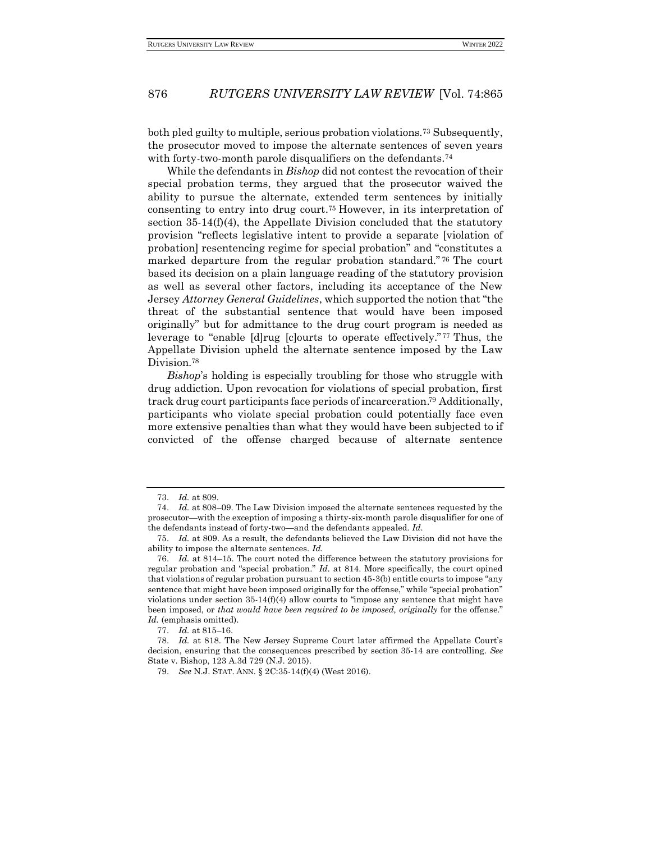both pled guilty to multiple, serious probation violations.<sup>73</sup> Subsequently, the prosecutor moved to impose the alternate sentences of seven years with forty-two-month parole disqualifiers on the defendants.<sup>74</sup>

While the defendants in *Bishop* did not contest the revocation of their special probation terms, they argued that the prosecutor waived the ability to pursue the alternate, extended term sentences by initially consenting to entry into drug court.<sup>75</sup> However, in its interpretation of section  $35-14(f)(4)$ , the Appellate Division concluded that the statutory provision "reflects legislative intent to provide a separate [violation of probation] resentencing regime for special probation" and "constitutes a marked departure from the regular probation standard." <sup>76</sup> The court based its decision on a plain language reading of the statutory provision as well as several other factors, including its acceptance of the New Jersey *Attorney General Guidelines*, which supported the notion that "the threat of the substantial sentence that would have been imposed originally" but for admittance to the drug court program is needed as leverage to "enable [d]rug [c]ourts to operate effectively." <sup>77</sup> Thus, the Appellate Division upheld the alternate sentence imposed by the Law Division.<sup>78</sup>

*Bishop*'s holding is especially troubling for those who struggle with drug addiction. Upon revocation for violations of special probation, first track drug court participants face periods of incarceration. <sup>79</sup> Additionally, participants who violate special probation could potentially face even more extensive penalties than what they would have been subjected to if convicted of the offense charged because of alternate sentence

<sup>73.</sup> *Id.* at 809.

<sup>74.</sup> *Id.* at 808–09. The Law Division imposed the alternate sentences requested by the prosecutor—with the exception of imposing a thirty-six-month parole disqualifier for one of the defendants instead of forty-two—and the defendants appealed. *Id.*

<sup>75.</sup> *Id.* at 809. As a result, the defendants believed the Law Division did not have the ability to impose the alternate sentences. *Id.* 

<sup>76.</sup> *Id.* at 814–15. The court noted the difference between the statutory provisions for regular probation and "special probation." *Id.* at 814. More specifically, the court opined that violations of regular probation pursuant to section 45-3(b) entitle courts to impose "any sentence that might have been imposed originally for the offense," while "special probation" violations under section  $35-14(f)(4)$  allow courts to "impose any sentence that might have been imposed, or *that would have been required to be imposed, originally* for the offense." *Id.* (emphasis omitted).

<sup>77.</sup> *Id.* at 815–16.

<sup>78.</sup> *Id.* at 818. The New Jersey Supreme Court later affirmed the Appellate Court's decision, ensuring that the consequences prescribed by section 35-14 are controlling. *See* State v. Bishop, 123 A.3d 729 (N.J. 2015).

<sup>79.</sup> *See* N.J. STAT. ANN. § 2C:35-14(f)(4) (West 2016).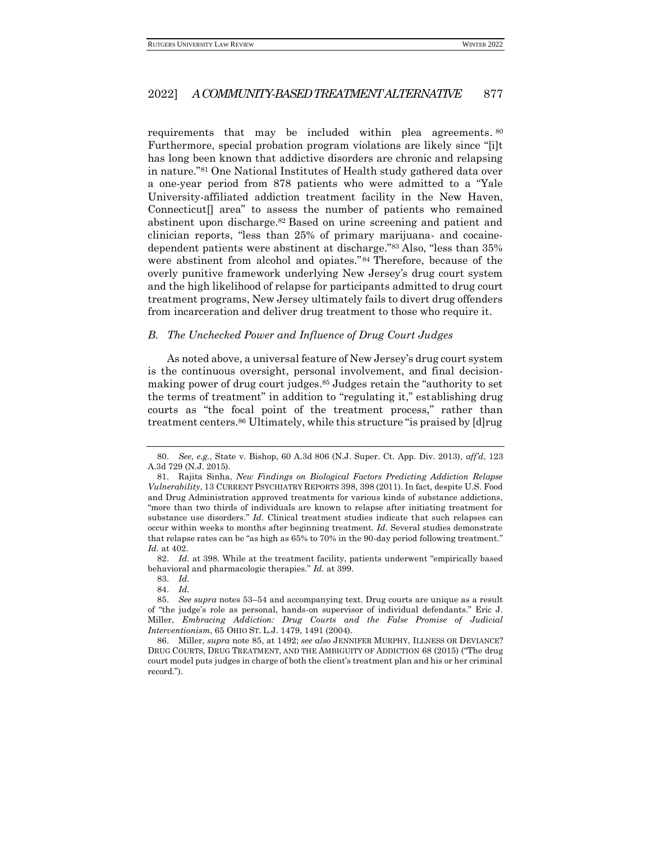requirements that may be included within plea agreements. 80 Furthermore, special probation program violations are likely since "[i]t has long been known that addictive disorders are chronic and relapsing in nature."<sup>81</sup> One National Institutes of Health study gathered data over a one-year period from 878 patients who were admitted to a "Yale University-affiliated addiction treatment facility in the New Haven, Connecticut<sup>[]</sup> area" to assess the number of patients who remained abstinent upon discharge.<sup>82</sup> Based on urine screening and patient and clinician reports, "less than 25% of primary marijuana- and cocainedependent patients were abstinent at discharge."<sup>83</sup> Also, "less than 35% were abstinent from alcohol and opiates."<sup>84</sup> Therefore, because of the overly punitive framework underlying New Jersey's drug court system and the high likelihood of relapse for participants admitted to drug court treatment programs, New Jersey ultimately fails to divert drug offenders from incarceration and deliver drug treatment to those who require it.

#### <span id="page-12-0"></span>*B. The Unchecked Power and Influence of Drug Court Judges*

As noted above, a universal feature of New Jersey's drug court system is the continuous oversight, personal involvement, and final decisionmaking power of drug court judges.<sup>85</sup> Judges retain the "authority to set the terms of treatment" in addition to "regulating it," establishing drug courts as "the focal point of the treatment process," rather than treatment centers.<sup>86</sup> Ultimately, while this structure "is praised by [d]rug

<sup>80.</sup> *See, e.g.*, State v. Bishop, 60 A.3d 806 (N.J. Super. Ct. App. Div. 2013), *aff'd*, 123 A.3d 729 (N.J. 2015).

<sup>81.</sup> Rajita Sinha, *New Findings on Biological Factors Predicting Addiction Relapse Vulnerability*, 13 CURRENT PSYCHIATRY REPORTS 398, 398 (2011). In fact, despite U.S. Food and Drug Administration approved treatments for various kinds of substance addictions, "more than two thirds of individuals are known to relapse after initiating treatment for substance use disorders." *Id.* Clinical treatment studies indicate that such relapses can occur within weeks to months after beginning treatment. *Id.* Several studies demonstrate that relapse rates can be "as high as 65% to 70% in the 90-day period following treatment." *Id.* at 402.

<sup>82.</sup> *Id.* at 398. While at the treatment facility, patients underwent "empirically based behavioral and pharmacologic therapies." *Id.* at 399.

<sup>83.</sup> *Id.*

<sup>84.</sup> *Id.*

<sup>85.</sup> *See supra* notes 53–54 and accompanying text. Drug courts are unique as a result of "the judge's role as personal, hands-on supervisor of individual defendants." Eric J. Miller, *Embracing Addiction: Drug Courts and the False Promise of Judicial Interventionism*, 65 OHIO ST. L.J. 1479, 1491 (2004).

<sup>86.</sup> Miller, *supra* note 85, at 1492; *see also* JENNIFER MURPHY, ILLNESS OR DEVIANCE? DRUG COURTS, DRUG TREATMENT, AND THE AMBIGUITY OF ADDICTION 68 (2015) ("The drug court model puts judges in charge of both the client's treatment plan and his or her criminal record.").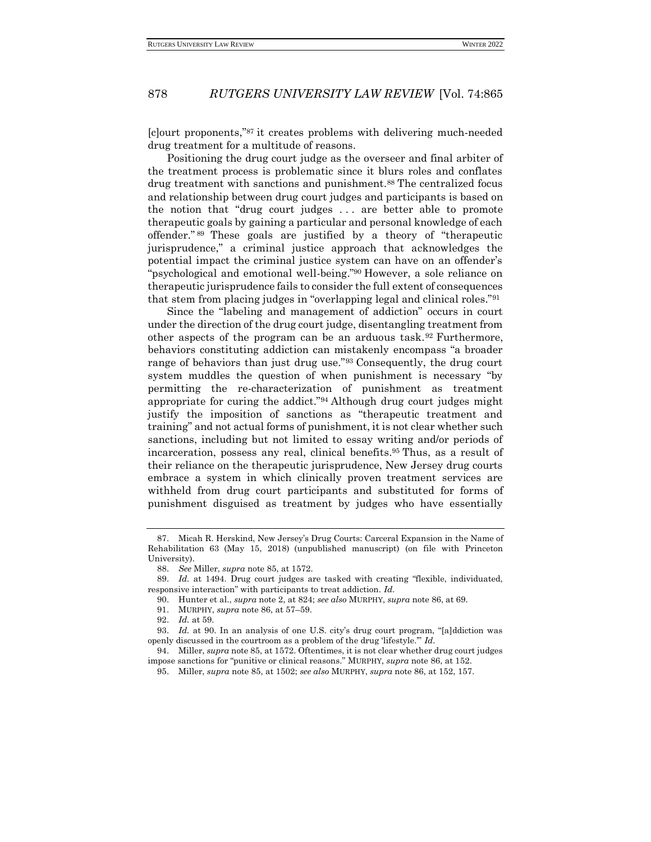[c]ourt proponents,"<sup>87</sup> it creates problems with delivering much-needed drug treatment for a multitude of reasons.

Positioning the drug court judge as the overseer and final arbiter of the treatment process is problematic since it blurs roles and conflates drug treatment with sanctions and punishment.<sup>88</sup> The centralized focus and relationship between drug court judges and participants is based on the notion that "drug court judges . . . are better able to promote therapeutic goals by gaining a particular and personal knowledge of each offender." <sup>89</sup> These goals are justified by a theory of "therapeutic jurisprudence," a criminal justice approach that acknowledges the potential impact the criminal justice system can have on an offender's "psychological and emotional well-being."<sup>90</sup> However, a sole reliance on therapeutic jurisprudence fails to consider the full extent of consequences that stem from placing judges in "overlapping legal and clinical roles."<sup>91</sup>

Since the "labeling and management of addiction" occurs in court under the direction of the drug court judge, disentangling treatment from other aspects of the program can be an arduous task.<sup>92</sup> Furthermore, behaviors constituting addiction can mistakenly encompass "a broader range of behaviors than just drug use."<sup>93</sup> Consequently, the drug court system muddles the question of when punishment is necessary "by permitting the re-characterization of punishment as treatment appropriate for curing the addict."<sup>94</sup> Although drug court judges might justify the imposition of sanctions as "therapeutic treatment and training" and not actual forms of punishment, it is not clear whether such sanctions, including but not limited to essay writing and/or periods of incarceration, possess any real, clinical benefits.<sup>95</sup> Thus, as a result of their reliance on the therapeutic jurisprudence, New Jersey drug courts embrace a system in which clinically proven treatment services are withheld from drug court participants and substituted for forms of punishment disguised as treatment by judges who have essentially

91. MURPHY, *supra* note 86, at 57–59.

<sup>87.</sup> Micah R. Herskind, New Jersey's Drug Courts: Carceral Expansion in the Name of Rehabilitation 63 (May 15, 2018) (unpublished manuscript) (on file with Princeton University).

<sup>88.</sup> *See* Miller, *supra* note 85, at 1572.

<sup>89.</sup> *Id.* at 1494. Drug court judges are tasked with creating "flexible, individuated, responsive interaction" with participants to treat addiction. *Id.*

<sup>90.</sup> Hunter et al., *supra* note 2, at 824; *see also* MURPHY, *supra* note 86, at 69.

<sup>92.</sup> *Id.* at 59.

<sup>93.</sup> *Id.* at 90. In an analysis of one U.S. city's drug court program, "[a]ddiction was openly discussed in the courtroom as a problem of the drug 'lifestyle.'" *Id.*

<sup>94.</sup> Miller, *supra* note 85, at 1572. Oftentimes, it is not clear whether drug court judges impose sanctions for "punitive or clinical reasons." MURPHY, *supra* note 86, at 152.

<sup>95.</sup> Miller, *supra* note 85, at 1502; *see also* MURPHY, *supra* note 86, at 152, 157.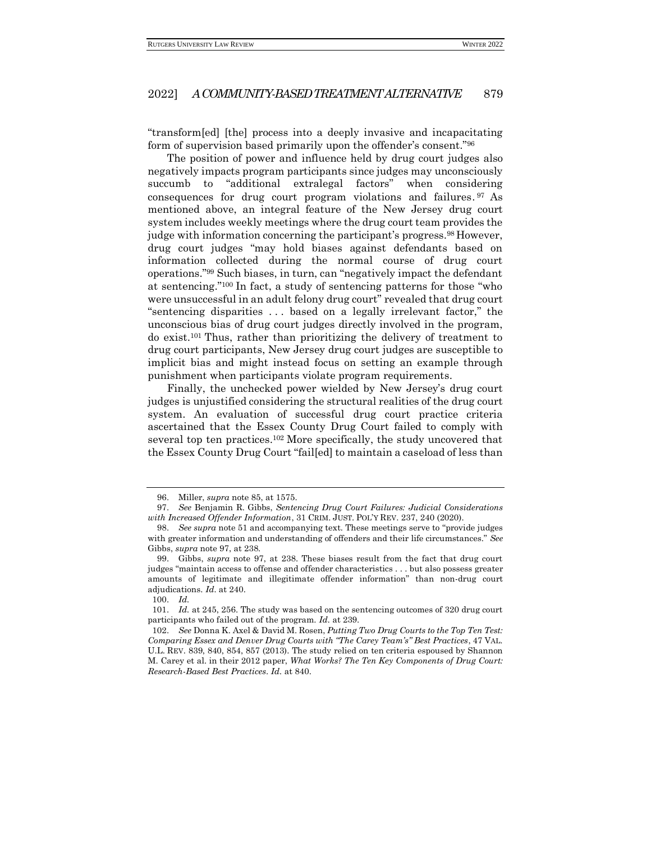"transform[ed] [the] process into a deeply invasive and incapacitating form of supervision based primarily upon the offender's consent."<sup>96</sup>

The position of power and influence held by drug court judges also negatively impacts program participants since judges may unconsciously succumb to "additional extralegal factors" when considering consequences for drug court program violations and failures. <sup>97</sup> As mentioned above, an integral feature of the New Jersey drug court system includes weekly meetings where the drug court team provides the judge with information concerning the participant's progress.<sup>98</sup> However, drug court judges "may hold biases against defendants based on information collected during the normal course of drug court operations."<sup>99</sup> Such biases, in turn, can "negatively impact the defendant at sentencing."<sup>100</sup> In fact, a study of sentencing patterns for those "who were unsuccessful in an adult felony drug court" revealed that drug court "sentencing disparities . . . based on a legally irrelevant factor," the unconscious bias of drug court judges directly involved in the program, do exist.<sup>101</sup> Thus, rather than prioritizing the delivery of treatment to drug court participants, New Jersey drug court judges are susceptible to implicit bias and might instead focus on setting an example through punishment when participants violate program requirements.

Finally, the unchecked power wielded by New Jersey's drug court judges is unjustified considering the structural realities of the drug court system. An evaluation of successful drug court practice criteria ascertained that the Essex County Drug Court failed to comply with several top ten practices.<sup>102</sup> More specifically, the study uncovered that the Essex County Drug Court "fail[ed] to maintain a caseload of less than

<sup>96.</sup> Miller, *supra* note 85, at 1575.

<sup>97.</sup> *See* Benjamin R. Gibbs, *Sentencing Drug Court Failures: Judicial Considerations with Increased Offender Information*, 31 CRIM. JUST. POL'Y REV. 237, 240 (2020).

<sup>98.</sup> *See supra* note 51 and accompanying text. These meetings serve to "provide judges with greater information and understanding of offenders and their life circumstances." *See*  Gibbs, *supra* note 97, at 238.

<sup>99.</sup> Gibbs, *supra* note 97, at 238. These biases result from the fact that drug court judges "maintain access to offense and offender characteristics . . . but also possess greater amounts of legitimate and illegitimate offender information" than non-drug court adjudications. *Id.* at 240.

<sup>100.</sup> *Id.*

<sup>101.</sup> *Id.* at 245, 256. The study was based on the sentencing outcomes of 320 drug court participants who failed out of the program. *Id.* at 239.

<sup>102.</sup> *See* Donna K. Axel & David M. Rosen, *Putting Two Drug Courts to the Top Ten Test: Comparing Essex and Denver Drug Courts with "The Carey Team's" Best Practices*, 47 VAL. U.L. REV. 839, 840, 854, 857 (2013). The study relied on ten criteria espoused by Shannon M. Carey et al. in their 2012 paper, *What Works? The Ten Key Components of Drug Court: Research-Based Best Practices*. *Id.* at 840.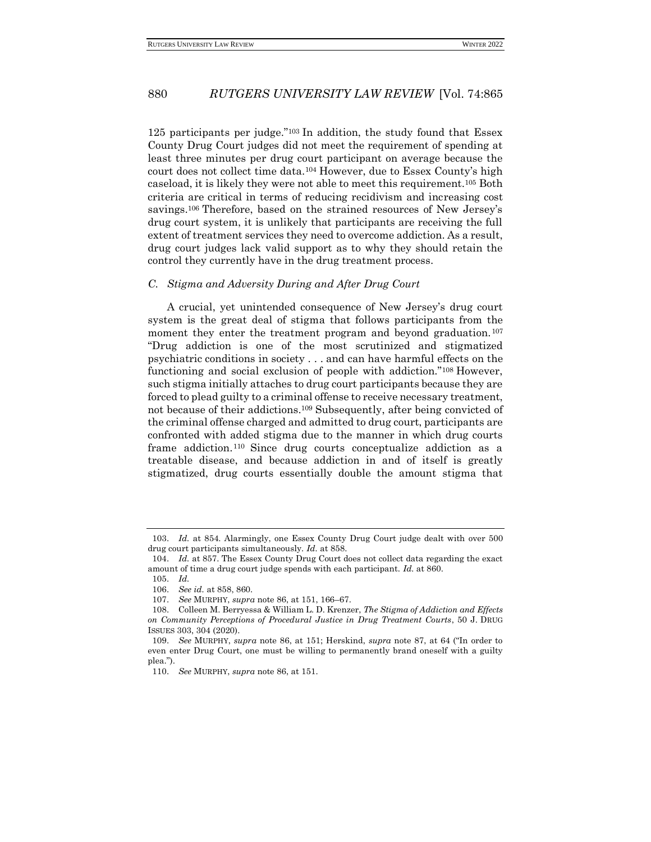125 participants per judge."<sup>103</sup> In addition, the study found that Essex County Drug Court judges did not meet the requirement of spending at least three minutes per drug court participant on average because the court does not collect time data.<sup>104</sup> However, due to Essex County's high caseload, it is likely they were not able to meet this requirement.<sup>105</sup> Both criteria are critical in terms of reducing recidivism and increasing cost savings.<sup>106</sup> Therefore, based on the strained resources of New Jersey's drug court system, it is unlikely that participants are receiving the full extent of treatment services they need to overcome addiction. As a result, drug court judges lack valid support as to why they should retain the control they currently have in the drug treatment process.

#### <span id="page-15-0"></span>*C. Stigma and Adversity During and After Drug Court*

A crucial, yet unintended consequence of New Jersey's drug court system is the great deal of stigma that follows participants from the moment they enter the treatment program and beyond graduation.<sup>107</sup> "Drug addiction is one of the most scrutinized and stigmatized psychiatric conditions in society . . . and can have harmful effects on the functioning and social exclusion of people with addiction."<sup>108</sup> However, such stigma initially attaches to drug court participants because they are forced to plead guilty to a criminal offense to receive necessary treatment, not because of their addictions.<sup>109</sup> Subsequently, after being convicted of the criminal offense charged and admitted to drug court, participants are confronted with added stigma due to the manner in which drug courts frame addiction. <sup>110</sup> Since drug courts conceptualize addiction as a treatable disease, and because addiction in and of itself is greatly stigmatized, drug courts essentially double the amount stigma that

<sup>103.</sup> *Id.* at 854. Alarmingly, one Essex County Drug Court judge dealt with over 500 drug court participants simultaneously. *Id.* at 858.

<sup>104.</sup> *Id.* at 857. The Essex County Drug Court does not collect data regarding the exact amount of time a drug court judge spends with each participant. *Id.* at 860.

<sup>105.</sup> *Id.*

<sup>106.</sup> *See id.* at 858, 860.

<sup>107.</sup> *See* MURPHY, *supra* note 86, at 151, 166–67.

<sup>108.</sup> Colleen M. Berryessa & William L. D. Krenzer, *The Stigma of Addiction and Effects on Community Perceptions of Procedural Justice in Drug Treatment Courts*, 50 J. DRUG ISSUES 303, 304 (2020).

<sup>109.</sup> *See* MURPHY, *supra* note 86, at 151; Herskind, *supra* note 87, at 64 ("In order to even enter Drug Court, one must be willing to permanently brand oneself with a guilty plea.").

<sup>110.</sup> *See* MURPHY, *supra* note 86, at 151.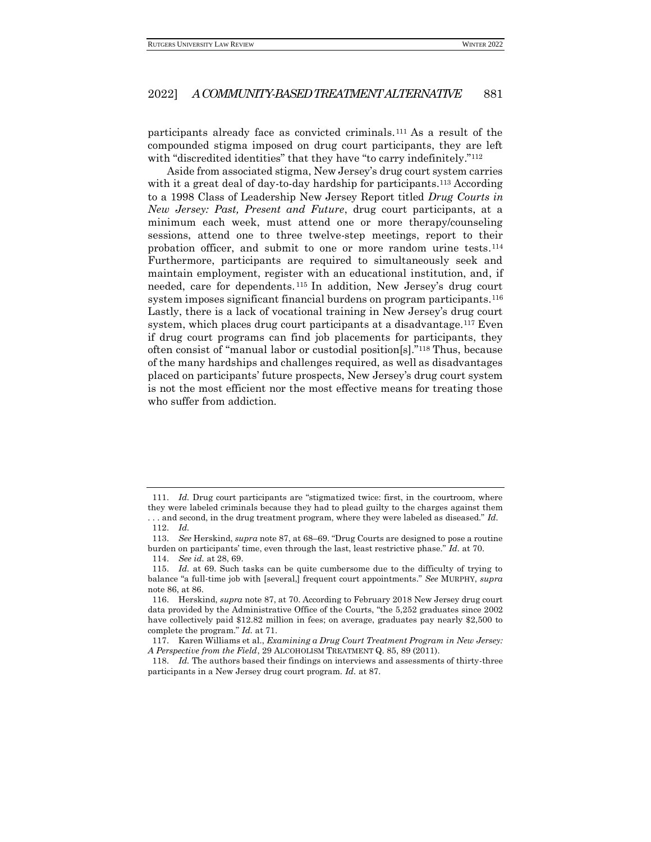participants already face as convicted criminals.<sup>111</sup> As a result of the compounded stigma imposed on drug court participants, they are left with "discredited identities" that they have "to carry indefinitely."<sup>112</sup>

Aside from associated stigma, New Jersey's drug court system carries with it a great deal of day-to-day hardship for participants.<sup>113</sup> According to a 1998 Class of Leadership New Jersey Report titled *Drug Courts in New Jersey: Past, Present and Future*, drug court participants, at a minimum each week, must attend one or more therapy/counseling sessions, attend one to three twelve-step meetings, report to their probation officer, and submit to one or more random urine tests. 114 Furthermore, participants are required to simultaneously seek and maintain employment, register with an educational institution, and, if needed, care for dependents. <sup>115</sup> In addition, New Jersey's drug court system imposes significant financial burdens on program participants.<sup>116</sup> Lastly, there is a lack of vocational training in New Jersey's drug court system, which places drug court participants at a disadvantage.<sup>117</sup> Even if drug court programs can find job placements for participants, they often consist of "manual labor or custodial position[s]."<sup>118</sup> Thus, because of the many hardships and challenges required, as well as disadvantages placed on participants' future prospects, New Jersey's drug court system is not the most efficient nor the most effective means for treating those who suffer from addiction.

<sup>111.</sup> *Id.* Drug court participants are "stigmatized twice: first, in the courtroom, where they were labeled criminals because they had to plead guilty to the charges against them . . . and second, in the drug treatment program, where they were labeled as diseased." *Id.*

<sup>112.</sup> *Id.*

<sup>113.</sup> *See* Herskind, *supra* note 87, at 68–69. "Drug Courts are designed to pose a routine burden on participants' time, even through the last, least restrictive phase." *Id.* at 70.

<sup>114.</sup> *See id.* at 28, 69.

<sup>115.</sup> *Id.* at 69. Such tasks can be quite cumbersome due to the difficulty of trying to balance "a full-time job with [several,] frequent court appointments." *See* MURPHY, *supra* note 86, at 86.

<sup>116.</sup> Herskind, *supra* note 87, at 70. According to February 2018 New Jersey drug court data provided by the Administrative Office of the Courts, "the 5,252 graduates since 2002 have collectively paid \$12.82 million in fees; on average, graduates pay nearly \$2,500 to complete the program." *Id.* at 71.

<sup>117.</sup> Karen Williams et al., *Examining a Drug Court Treatment Program in New Jersey: A Perspective from the Field*, 29 ALCOHOLISM TREATMENT Q. 85, 89 (2011).

<sup>118.</sup> *Id.* The authors based their findings on interviews and assessments of thirty-three participants in a New Jersey drug court program. *Id.* at 87.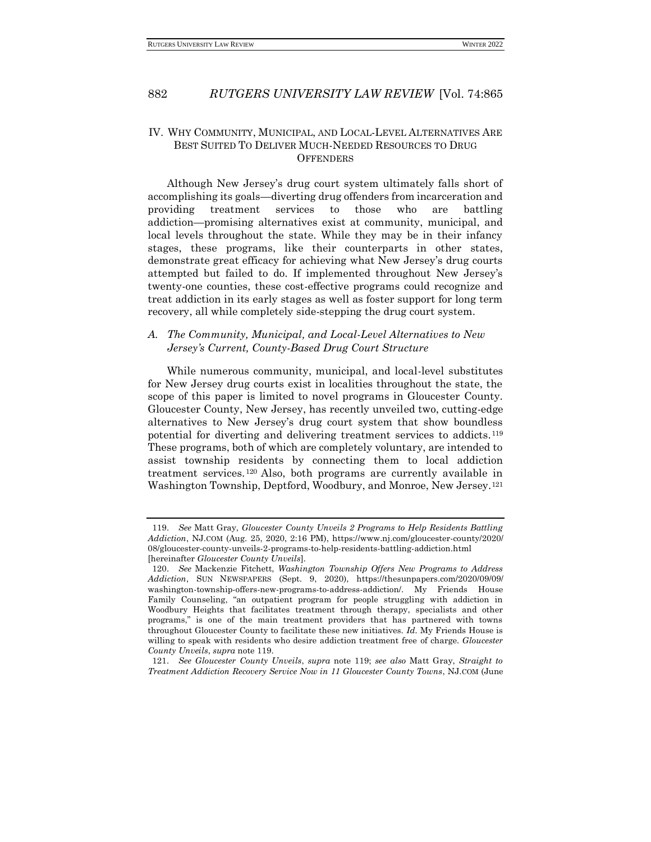## <span id="page-17-0"></span>IV. WHY COMMUNITY, MUNICIPAL, AND LOCAL-LEVEL ALTERNATIVES ARE BEST SUITED TO DELIVER MUCH-NEEDED RESOURCES TO DRUG **OFFENDERS**

Although New Jersey's drug court system ultimately falls short of accomplishing its goals—diverting drug offenders from incarceration and providing treatment services to those who are battling addiction—promising alternatives exist at community, municipal, and local levels throughout the state. While they may be in their infancy stages, these programs, like their counterparts in other states, demonstrate great efficacy for achieving what New Jersey's drug courts attempted but failed to do. If implemented throughout New Jersey's twenty-one counties, these cost-effective programs could recognize and treat addiction in its early stages as well as foster support for long term recovery, all while completely side-stepping the drug court system.

## <span id="page-17-1"></span>*A. The Community, Municipal, and Local-Level Alternatives to New Jersey's Current, County-Based Drug Court Structure*

While numerous community, municipal, and local-level substitutes for New Jersey drug courts exist in localities throughout the state, the scope of this paper is limited to novel programs in Gloucester County. Gloucester County, New Jersey, has recently unveiled two, cutting-edge alternatives to New Jersey's drug court system that show boundless potential for diverting and delivering treatment services to addicts.<sup>119</sup> These programs, both of which are completely voluntary, are intended to assist township residents by connecting them to local addiction treatment services.<sup>120</sup> Also, both programs are currently available in Washington Township, Deptford, Woodbury, and Monroe, New Jersey.<sup>121</sup>

<sup>119.</sup> *See* Matt Gray, *Gloucester County Unveils 2 Programs to Help Residents Battling Addiction*, NJ.COM (Aug. 25, 2020, 2:16 PM), https://www.nj.com/gloucester-county/2020/ 08/gloucester-county-unveils-2-programs-to-help-residents-battling-addiction.html [hereinafter *Gloucester County Unveils*].

<sup>120.</sup> *See* Mackenzie Fitchett, *Washington Township Offers New Programs to Address Addiction*, SUN NEWSPAPERS (Sept. 9, 2020), https://thesunpapers.com/2020/09/09/ washington-township-offers-new-programs-to-address-addiction/. My Friends House Family Counseling, "an outpatient program for people struggling with addiction in Woodbury Heights that facilitates treatment through therapy, specialists and other programs," is one of the main treatment providers that has partnered with towns throughout Gloucester County to facilitate these new initiatives. *Id.* My Friends House is willing to speak with residents who desire addiction treatment free of charge. *Gloucester County Unveils*, *supra* note 119.

<sup>121.</sup> *See Gloucester County Unveils*, *supra* note 119; *see also* Matt Gray, *Straight to Treatment Addiction Recovery Service Now in 11 Gloucester County Towns*, NJ.COM (June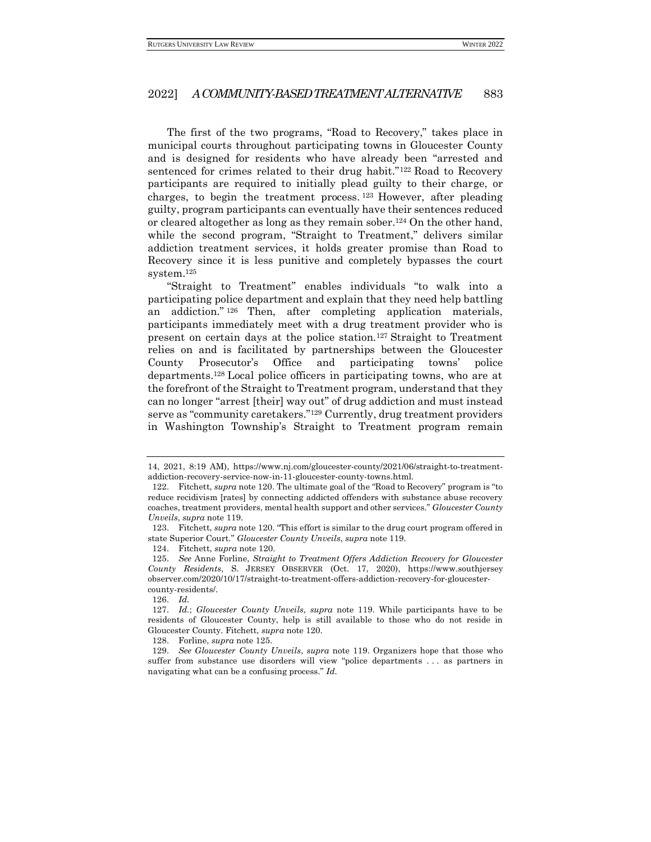The first of the two programs, "Road to Recovery," takes place in municipal courts throughout participating towns in Gloucester County and is designed for residents who have already been "arrested and sentenced for crimes related to their drug habit."<sup>122</sup> Road to Recovery participants are required to initially plead guilty to their charge, or charges, to begin the treatment process. <sup>123</sup> However, after pleading guilty, program participants can eventually have their sentences reduced or cleared altogether as long as they remain sober.<sup>124</sup> On the other hand, while the second program, "Straight to Treatment," delivers similar addiction treatment services, it holds greater promise than Road to Recovery since it is less punitive and completely bypasses the court system.<sup>125</sup>

"Straight to Treatment" enables individuals "to walk into a participating police department and explain that they need help battling an addiction." <sup>126</sup> Then, after completing application materials, participants immediately meet with a drug treatment provider who is present on certain days at the police station.<sup>127</sup> Straight to Treatment relies on and is facilitated by partnerships between the Gloucester County Prosecutor's Office and participating towns' police departments.<sup>128</sup> Local police officers in participating towns, who are at the forefront of the Straight to Treatment program, understand that they can no longer "arrest [their] way out" of drug addiction and must instead serve as "community caretakers."<sup>129</sup> Currently, drug treatment providers in Washington Township's Straight to Treatment program remain

<sup>14, 2021, 8:19</sup> AM), https://www.nj.com/gloucester-county/2021/06/straight-to-treatmentaddiction-recovery-service-now-in-11-gloucester-county-towns.html.

<sup>122.</sup> Fitchett, *supra* note 120. The ultimate goal of the "Road to Recovery" program is "to reduce recidivism [rates] by connecting addicted offenders with substance abuse recovery coaches, treatment providers, mental health support and other services." *Gloucester County Unveils*, *supra* note 119.

<sup>123.</sup> Fitchett, *supra* note 120. "This effort is similar to the drug court program offered in state Superior Court." *Gloucester County Unveils*, *supra* note 119.

<sup>124.</sup> Fitchett, *supra* note 120.

<sup>125.</sup> *See* Anne Forline, *Straight to Treatment Offers Addiction Recovery for Gloucester County Residents*, S. JERSEY OBSERVER (Oct. 17, 2020), https://www.southjersey observer.com/2020/10/17/straight-to-treatment-offers-addiction-recovery-for-gloucestercounty-residents/.

<sup>126.</sup> *Id.*

<sup>127.</sup> *Id.*; *Gloucester County Unveils*, *supra* note 119. While participants have to be residents of Gloucester County, help is still available to those who do not reside in Gloucester County. Fitchett, *supra* note 120.

<sup>128.</sup> Forline, *supra* note 125.

<sup>129.</sup> *See Gloucester County Unveils*, *supra* note 119. Organizers hope that those who suffer from substance use disorders will view "police departments . . . as partners in navigating what can be a confusing process." *Id.*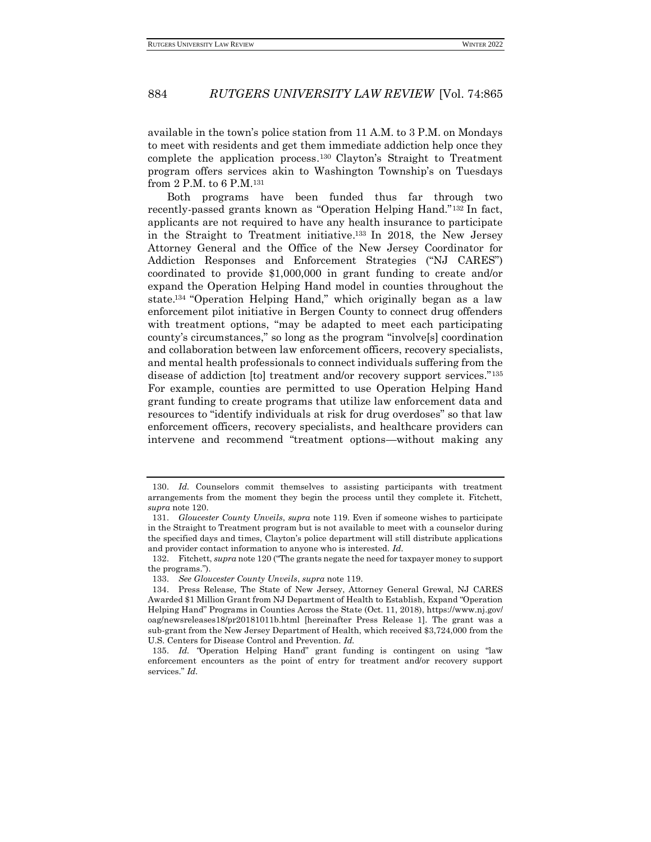available in the town's police station from 11 A.M. to 3 P.M. on Mondays to meet with residents and get them immediate addiction help once they complete the application process. <sup>130</sup> Clayton's Straight to Treatment program offers services akin to Washington Township's on Tuesdays from 2 P.M. to 6 P.M.<sup>131</sup>

Both programs have been funded thus far through two recently-passed grants known as "Operation Helping Hand."<sup>132</sup> In fact, applicants are not required to have any health insurance to participate in the Straight to Treatment initiative. <sup>133</sup> In 2018, the New Jersey Attorney General and the Office of the New Jersey Coordinator for Addiction Responses and Enforcement Strategies ("NJ CARES") coordinated to provide \$1,000,000 in grant funding to create and/or expand the Operation Helping Hand model in counties throughout the state. <sup>134</sup> "Operation Helping Hand," which originally began as a law enforcement pilot initiative in Bergen County to connect drug offenders with treatment options, "may be adapted to meet each participating county's circumstances," so long as the program "involve[s] coordination and collaboration between law enforcement officers, recovery specialists, and mental health professionals to connect individuals suffering from the disease of addiction [to] treatment and/or recovery support services."<sup>135</sup> For example, counties are permitted to use Operation Helping Hand grant funding to create programs that utilize law enforcement data and resources to "identify individuals at risk for drug overdoses" so that law enforcement officers, recovery specialists, and healthcare providers can intervene and recommend "treatment options—without making any

<sup>130.</sup> *Id.* Counselors commit themselves to assisting participants with treatment arrangements from the moment they begin the process until they complete it. Fitchett, *supra* note 120.

<sup>131.</sup> *Gloucester County Unveils*, *supra* note 119. Even if someone wishes to participate in the Straight to Treatment program but is not available to meet with a counselor during the specified days and times, Clayton's police department will still distribute applications and provider contact information to anyone who is interested. *Id.*

<sup>132.</sup> Fitchett, *supra* note 120 ("The grants negate the need for taxpayer money to support the programs.").

<sup>133.</sup> *See Gloucester County Unveils*, *supra* note 119.

<sup>134.</sup> Press Release, The State of New Jersey, Attorney General Grewal, NJ CARES Awarded \$1 Million Grant from NJ Department of Health to Establish, Expand "Operation Helping Hand" Programs in Counties Across the State (Oct. 11, 2018), https://www.nj.gov/ oag/newsreleases18/pr20181011b.html [hereinafter Press Release 1]. The grant was a sub-grant from the New Jersey Department of Health, which received \$3,724,000 from the U.S. Centers for Disease Control and Prevention. *Id.*

<sup>135.</sup> *Id. "*Operation Helping Hand" grant funding is contingent on using "law enforcement encounters as the point of entry for treatment and/or recovery support services." *Id.*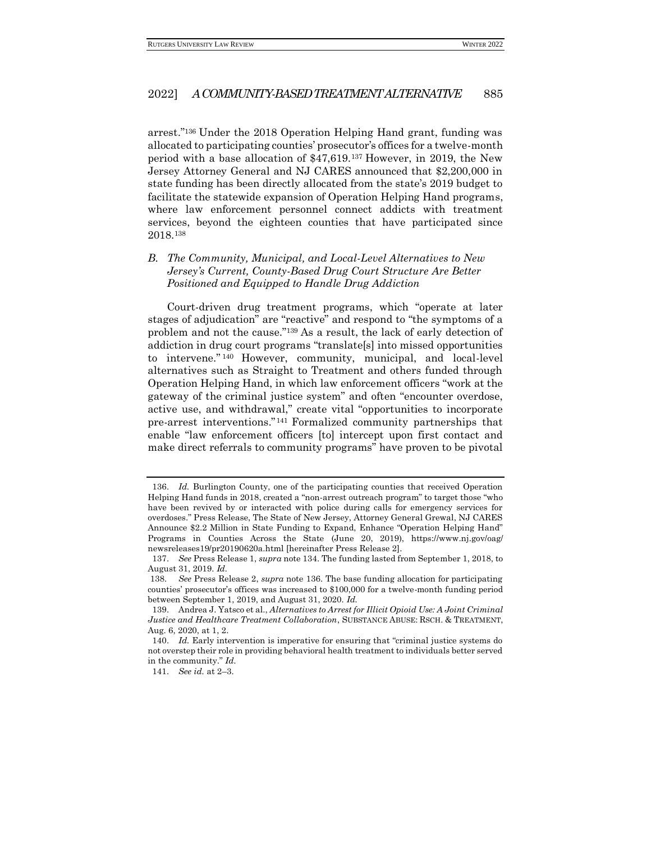arrest."<sup>136</sup> Under the 2018 Operation Helping Hand grant, funding was allocated to participating counties' prosecutor's offices for a twelve-month period with a base allocation of \$47,619.<sup>137</sup> However, in 2019, the New Jersey Attorney General and NJ CARES announced that \$2,200,000 in state funding has been directly allocated from the state's 2019 budget to facilitate the statewide expansion of Operation Helping Hand programs, where law enforcement personnel connect addicts with treatment services, beyond the eighteen counties that have participated since 2018.<sup>138</sup>

## <span id="page-20-0"></span>*B. The Community, Municipal, and Local-Level Alternatives to New Jersey's Current, County-Based Drug Court Structure Are Better Positioned and Equipped to Handle Drug Addiction*

Court-driven drug treatment programs, which "operate at later stages of adjudication" are "reactive" and respond to "the symptoms of a problem and not the cause."<sup>139</sup> As a result, the lack of early detection of addiction in drug court programs "translate[s] into missed opportunities to intervene." <sup>140</sup> However, community, municipal, and local-level alternatives such as Straight to Treatment and others funded through Operation Helping Hand, in which law enforcement officers "work at the gateway of the criminal justice system" and often "encounter overdose, active use, and withdrawal," create vital "opportunities to incorporate pre-arrest interventions." <sup>141</sup> Formalized community partnerships that enable "law enforcement officers [to] intercept upon first contact and make direct referrals to community programs" have proven to be pivotal

<sup>136.</sup> *Id.* Burlington County, one of the participating counties that received Operation Helping Hand funds in 2018, created a "non-arrest outreach program" to target those "who have been revived by or interacted with police during calls for emergency services for overdoses." Press Release, The State of New Jersey, Attorney General Grewal, NJ CARES Announce \$2.2 Million in State Funding to Expand, Enhance "Operation Helping Hand" Programs in Counties Across the State (June 20, 2019), https://www.nj.gov/oag/ newsreleases19/pr20190620a.html [hereinafter Press Release 2].

<sup>137.</sup> *See* Press Release 1, *supra* note 134. The funding lasted from September 1, 2018, to August 31, 2019. *Id.*

<sup>138.</sup> *See* Press Release 2, *supra* note 136. The base funding allocation for participating counties' prosecutor's offices was increased to \$100,000 for a twelve-month funding period between September 1, 2019, and August 31, 2020. *Id.*

<sup>139.</sup> Andrea J. Yatsco et al., *Alternatives to Arrest for Illicit Opioid Use: A Joint Criminal Justice and Healthcare Treatment Collaboration*, SUBSTANCE ABUSE: RSCH. & TREATMENT, Aug. 6, 2020, at 1, 2.

<sup>140.</sup> *Id.* Early intervention is imperative for ensuring that "criminal justice systems do not overstep their role in providing behavioral health treatment to individuals better served in the community." *Id.*

<sup>141.</sup> *See id.* at 2–3.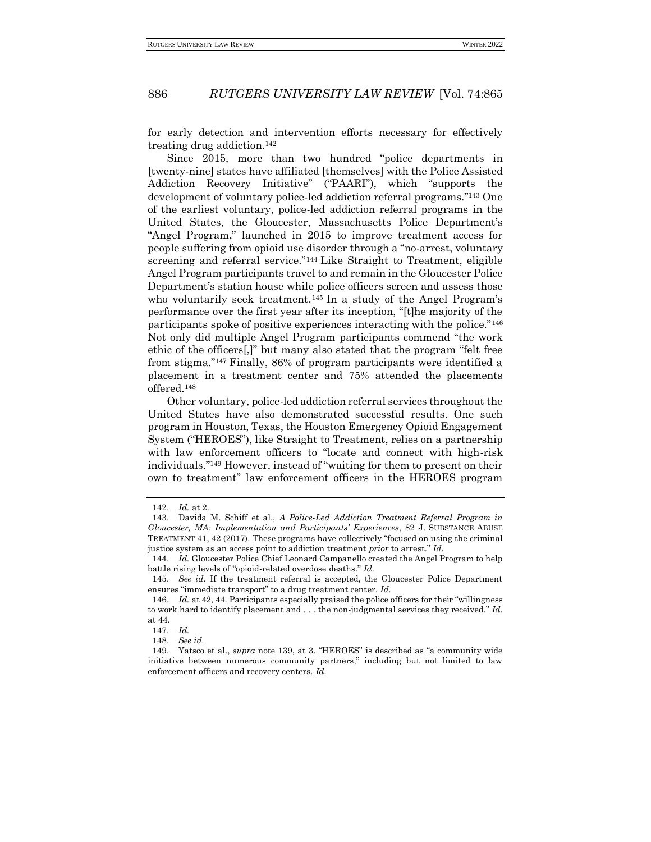for early detection and intervention efforts necessary for effectively treating drug addiction.<sup>142</sup>

Since 2015, more than two hundred "police departments in [twenty-nine] states have affiliated [themselves] with the Police Assisted Addiction Recovery Initiative" ("PAARI"), which "supports the development of voluntary police-led addiction referral programs."<sup>143</sup> One of the earliest voluntary, police-led addiction referral programs in the United States, the Gloucester, Massachusetts Police Department's "Angel Program," launched in 2015 to improve treatment access for people suffering from opioid use disorder through a "no-arrest, voluntary screening and referral service."<sup>144</sup> Like Straight to Treatment, eligible Angel Program participants travel to and remain in the Gloucester Police Department's station house while police officers screen and assess those who voluntarily seek treatment.<sup>145</sup> In a study of the Angel Program's performance over the first year after its inception, "[t]he majority of the participants spoke of positive experiences interacting with the police."<sup>146</sup> Not only did multiple Angel Program participants commend "the work ethic of the officers[,]" but many also stated that the program "felt free from stigma."<sup>147</sup> Finally, 86% of program participants were identified a placement in a treatment center and 75% attended the placements offered.<sup>148</sup>

Other voluntary, police-led addiction referral services throughout the United States have also demonstrated successful results. One such program in Houston, Texas, the Houston Emergency Opioid Engagement System ("HEROES"), like Straight to Treatment, relies on a partnership with law enforcement officers to "locate and connect with high-risk individuals."<sup>149</sup> However, instead of "waiting for them to present on their own to treatment" law enforcement officers in the HEROES program

<sup>142.</sup> *Id.* at 2.

<sup>143.</sup> Davida M. Schiff et al., *A Police-Led Addiction Treatment Referral Program in Gloucester, MA: Implementation and Participants' Experiences*, 82 J. SUBSTANCE ABUSE TREATMENT 41, 42 (2017). These programs have collectively "focused on using the criminal justice system as an access point to addiction treatment *prior* to arrest." *Id.*

<sup>144.</sup> *Id.* Gloucester Police Chief Leonard Campanello created the Angel Program to help battle rising levels of "opioid-related overdose deaths." *Id.*

<sup>145.</sup> *See id.* If the treatment referral is accepted, the Gloucester Police Department ensures "immediate transport" to a drug treatment center. *Id.*

<sup>146.</sup> *Id.* at 42, 44. Participants especially praised the police officers for their "willingness to work hard to identify placement and . . . the non-judgmental services they received." *Id.* at 44.

<sup>147.</sup> *Id.*

<sup>148.</sup> *See id.*

<sup>149.</sup> Yatsco et al., *supra* note 139, at 3. "HEROES" is described as "a community wide initiative between numerous community partners," including but not limited to law enforcement officers and recovery centers. *Id.*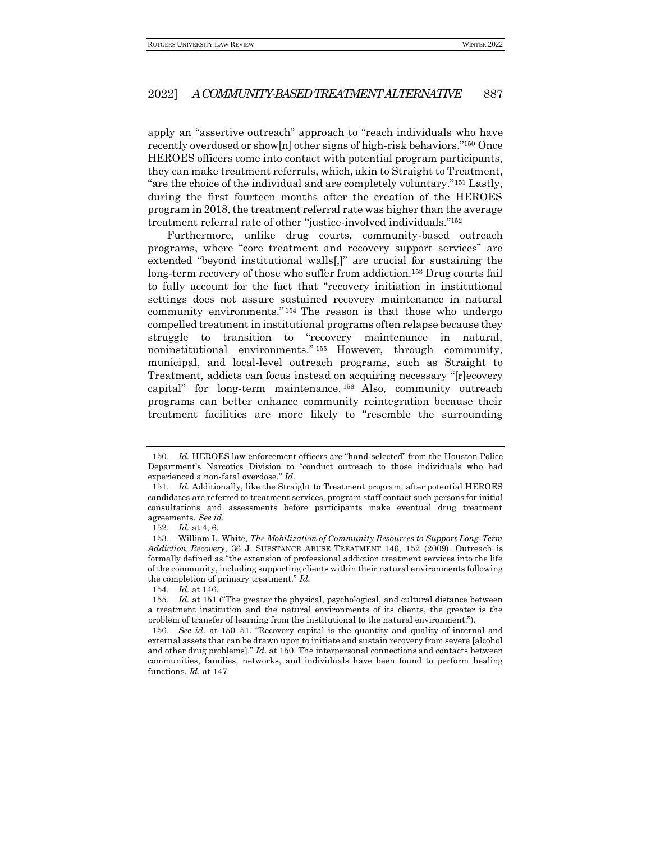apply an "assertive outreach" approach to "reach individuals who have recently overdosed or show[n] other signs of high-risk behaviors."<sup>150</sup> Once HEROES officers come into contact with potential program participants, they can make treatment referrals, which, akin to Straight to Treatment, "are the choice of the individual and are completely voluntary."<sup>151</sup> Lastly, during the first fourteen months after the creation of the HEROES program in 2018, the treatment referral rate was higher than the average treatment referral rate of other "justice-involved individuals."<sup>152</sup>

Furthermore, unlike drug courts, community-based outreach programs, where "core treatment and recovery support services" are extended "beyond institutional walls[,]" are crucial for sustaining the long-term recovery of those who suffer from addiction.<sup>153</sup> Drug courts fail to fully account for the fact that "recovery initiation in institutional settings does not assure sustained recovery maintenance in natural community environments." <sup>154</sup> The reason is that those who undergo compelled treatment in institutional programs often relapse because they struggle to transition to "recovery maintenance in natural, noninstitutional environments." <sup>155</sup> However, through community, municipal, and local-level outreach programs, such as Straight to Treatment, addicts can focus instead on acquiring necessary "[r]ecovery capital" for long-term maintenance. <sup>156</sup> Also, community outreach programs can better enhance community reintegration because their treatment facilities are more likely to "resemble the surrounding

<sup>150.</sup> *Id.* HEROES law enforcement officers are "hand-selected" from the Houston Police Department's Narcotics Division to "conduct outreach to those individuals who had experienced a non-fatal overdose." *Id.*

<sup>151.</sup> *Id.* Additionally, like the Straight to Treatment program, after potential HEROES candidates are referred to treatment services, program staff contact such persons for initial consultations and assessments before participants make eventual drug treatment agreements. *See id.*

<sup>152.</sup> *Id.* at 4, 6.

<sup>153.</sup> William L. White, *The Mobilization of Community Resources to Support Long-Term Addiction Recovery*, 36 J. SUBSTANCE ABUSE TREATMENT 146, 152 (2009). Outreach is formally defined as "the extension of professional addiction treatment services into the life of the community, including supporting clients within their natural environments following the completion of primary treatment." *Id.*

<sup>154.</sup> *Id.* at 146.

<sup>155.</sup> *Id.* at 151 ("The greater the physical, psychological, and cultural distance between a treatment institution and the natural environments of its clients, the greater is the problem of transfer of learning from the institutional to the natural environment.").

<sup>156.</sup> *See id.* at 150–51. "Recovery capital is the quantity and quality of internal and external assets that can be drawn upon to initiate and sustain recovery from severe [alcohol and other drug problems]." *Id.* at 150. The interpersonal connections and contacts between communities, families, networks, and individuals have been found to perform healing functions. *Id.* at 147.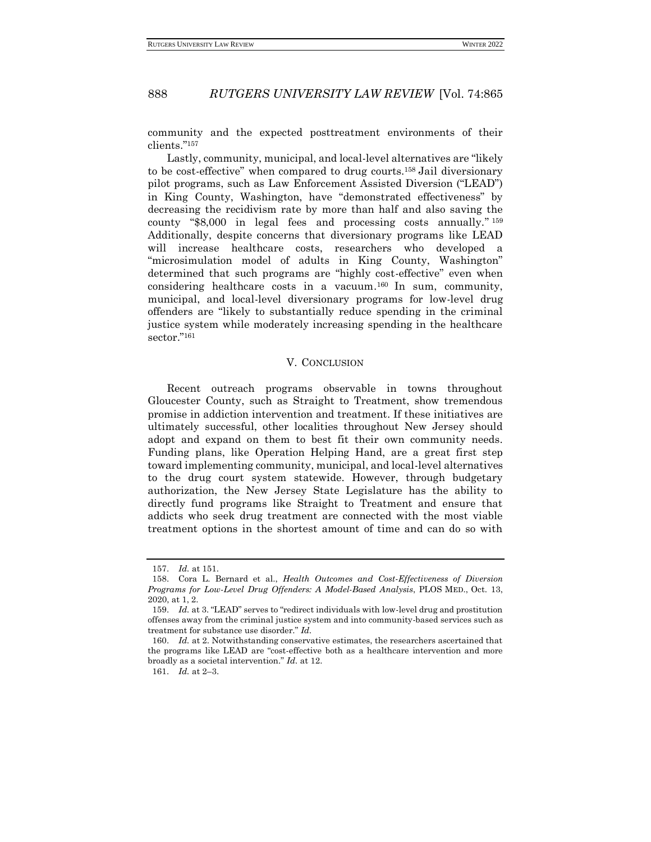community and the expected posttreatment environments of their clients."<sup>157</sup>

Lastly, community, municipal, and local-level alternatives are "likely to be cost-effective" when compared to drug courts.<sup>158</sup> Jail diversionary pilot programs, such as Law Enforcement Assisted Diversion ("LEAD") in King County, Washington, have "demonstrated effectiveness" by decreasing the recidivism rate by more than half and also saving the county "\$8,000 in legal fees and processing costs annually." 159 Additionally, despite concerns that diversionary programs like LEAD will increase healthcare costs, researchers who developed a "microsimulation model of adults in King County, Washington" determined that such programs are "highly cost-effective" even when considering healthcare costs in a vacuum. <sup>160</sup> In sum, community, municipal, and local-level diversionary programs for low-level drug offenders are "likely to substantially reduce spending in the criminal justice system while moderately increasing spending in the healthcare sector."<sup>161</sup>

#### V. CONCLUSION

<span id="page-23-0"></span>Recent outreach programs observable in towns throughout Gloucester County, such as Straight to Treatment, show tremendous promise in addiction intervention and treatment. If these initiatives are ultimately successful, other localities throughout New Jersey should adopt and expand on them to best fit their own community needs. Funding plans, like Operation Helping Hand, are a great first step toward implementing community, municipal, and local-level alternatives to the drug court system statewide. However, through budgetary authorization, the New Jersey State Legislature has the ability to directly fund programs like Straight to Treatment and ensure that addicts who seek drug treatment are connected with the most viable treatment options in the shortest amount of time and can do so with

<sup>157.</sup> *Id.* at 151.

<sup>158.</sup> Cora L. Bernard et al., *Health Outcomes and Cost-Effectiveness of Diversion Programs for Low-Level Drug Offenders: A Model-Based Analysis*, PLOS MED., Oct. 13, 2020, at 1, 2.

<sup>159.</sup> *Id.* at 3. "LEAD" serves to "redirect individuals with low-level drug and prostitution offenses away from the criminal justice system and into community-based services such as treatment for substance use disorder." *Id.*

<sup>160.</sup> *Id.* at 2. Notwithstanding conservative estimates, the researchers ascertained that the programs like LEAD are "cost-effective both as a healthcare intervention and more broadly as a societal intervention." *Id.* at 12.

<sup>161.</sup> *Id.* at 2–3.